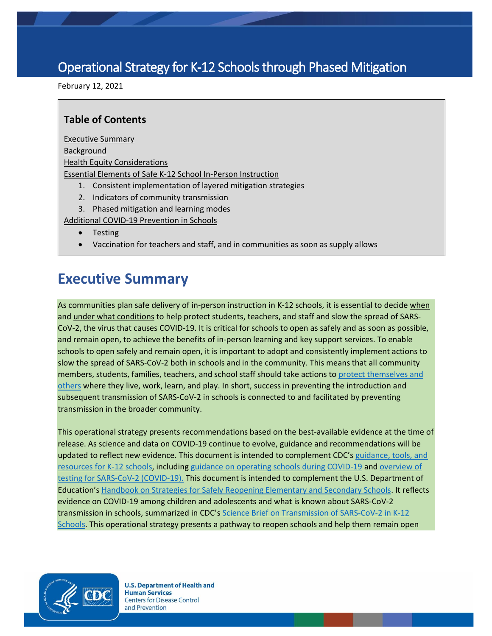# Operational Strategy for K-12 Schools through Phased Mitigation

February 12, 2021

## **Table of Contents**

[Executive Summary](#page-0-0) [Background](#page-6-0) [Health Equity Considerations](#page-7-0) [Essential Elements of Safe K-12 School In-Person Instruction](#page-7-1) 1. Consistent implementation of layered mitigation strategies

- 2. Indicators of community transmission
- 3. Phased mitigation and learning modes

[Additional COVID-19 Prevention in Schools](#page-24-0)

- Testing
- Vaccination for teachers and staff, and in communities as soon as supply allows

# <span id="page-0-0"></span>**Executive Summary**

As communities plan safe delivery of in-person instruction in K-12 schools, it is essential to decide when and under what conditions to help protect students, teachers, and staff and slow the spread of SARS-CoV-2, the virus that causes COVID-19. It is critical for schools to open as safely and as soon as possible, and remain open, to achieve the benefits of in-person learning and key support services. To enable schools to open safely and remain open, it is important to adopt and consistently implement actions to slow the spread of SARS-CoV-2 both in schools and in the community. This means that all community members, students, families, teachers, and school staff should take actions to [protect themselves and](https://www.cdc.gov/coronavirus/2019-ncov/community/schools-childcare/schools.html)  [others](https://www.cdc.gov/coronavirus/2019-ncov/community/schools-childcare/schools.html) where they live, work, learn, and play. In short, success in preventing the introduction and subsequent transmission of SARS-CoV-2 in schools is connected to and facilitated by preventing transmission in the broader community.

This operational strategy presents recommendations based on the best-available evidence at the time of release. As science and data on COVID-19 continue to evolve, guidance and recommendations will be updated to reflect new evidence. This document is intended to complement CDC's [guidance, tools, and](https://www.cdc.gov/coronavirus/2019-ncov/community/schools-childcare/index.html)  [resources for K-12 schools,](https://www.cdc.gov/coronavirus/2019-ncov/community/schools-childcare/index.html) includin[g guidance on operating schools during COVID-19](https://www.cdc.gov/coronavirus/2019-ncov/community/schools-childcare/schools.html) an[d overview of](https://www.cdc.gov/coronavirus/2019-ncov/hcp/testing-overview.html)  [testing for SARS-CoV-2 \(COVID-19\).](https://www.cdc.gov/coronavirus/2019-ncov/hcp/testing-overview.html) This document is intended to complement the U.S. Department of Education's [Handbook on Strategies for Safely Reopening Elementary and Secondary Schools.](https://www2.ed.gov/documents/coronavirus/reopening.pdf) It reflects evidence on COVID-19 among children and adolescents and what is known about SARS-CoV-2 transmission in schools, summarized in CDC's [Science Brief on Transmission of SARS-CoV-2 in K-12](https://www.cdc.gov/coronavirus/2019-ncov/more/science-and-research/transmission_k_12_schools.html)  [Schools.](https://www.cdc.gov/coronavirus/2019-ncov/more/science-and-research/transmission_k_12_schools.html) This operational strategy presents a pathway to reopen schools and help them remain open

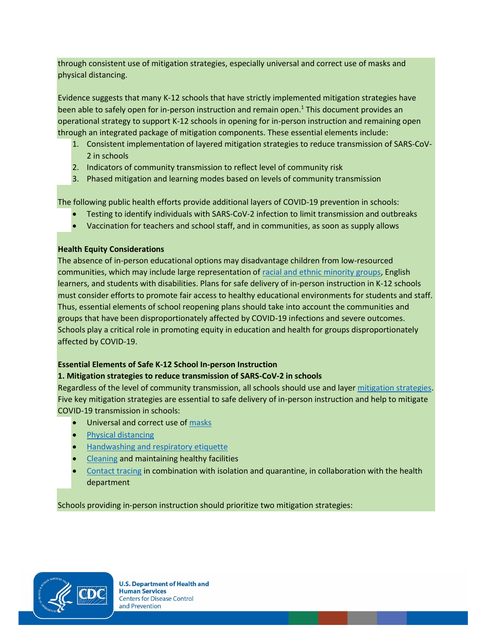through consistent use of mitigation strategies, especially universal and correct use of masks and physical distancing.

Evidence suggests that many K-12 schools that have strictly implemented mitigation strategies have been able to safely open for in-person instruction and remain open.<sup>1</sup> This document provides an operational strategy to support K-12 schools in opening for in-person instruction and remaining open through an integrated package of mitigation components. These essential elements include:

- 1. Consistent implementation of layered mitigation strategies to reduce transmission of SARS-CoV-2 in schools
- 2. Indicators of community transmission to reflect level of community risk
- 3. Phased mitigation and learning modes based on levels of community transmission

The following public health efforts provide additional layers of COVID-19 prevention in schools:

- Testing to identify individuals with SARS-CoV-2 infection to limit transmission and outbreaks
- Vaccination for teachers and school staff, and in communities, as soon as supply allows

#### **Health Equity Considerations**

The absence of in-person educational options may disadvantage children from low-resourced communities, which may include large representation o[f racial and ethnic minority groups,](https://www.cdc.gov/coronavirus/2019-ncov/community/health-equity/racial-ethnic-disparities/index.html) English learners, and students with disabilities. Plans for safe delivery of in-person instruction in K-12 schools must consider efforts to promote fair access to healthy educational environments for students and staff. Thus, essential elements of school reopening plans should take into account the communities and groups that have been disproportionately affected by COVID-19 infections and severe outcomes. Schools play a critical role in promoting equity in education and health for groups disproportionately affected by COVID-19.

#### **Essential Elements of Safe K-12 School In-person Instruction**

#### **1. Mitigation strategies to reduce transmission of SARS-CoV-2 in schools**

Regardless of the level of community transmission, all schools should use and layer [mitigation strategies.](https://www.cdc.gov/coronavirus/2019-ncov/community/community-mitigation.html) Five key mitigation strategies are essential to safe delivery of in-person instruction and help to mitigate COVID-19 transmission in schools:

- Universal and correct use o[f masks](https://www.cdc.gov/coronavirus/2019-ncov/community/schools-childcare/cloth-face-cover.html)
- [Physical distancing](https://www.cdc.gov/coronavirus/2019-ncov/prevent-getting-sick/social-distancing.html)
- [Handwashing and respiratory etiquette](https://www.cdc.gov/handwashing/when-how-handwashing.html)
- [Cleaning](https://www.cdc.gov/coronavirus/2019-ncov/community/clean-disinfect/index.html) and maintaining healthy facilities
- [Contact tracing](https://www.cdc.gov/coronavirus/2019-ncov/php/open-america/contact-tracing-resources.html) in combination with isolation and quarantine, in collaboration with the health department

Schools providing in-person instruction should prioritize two mitigation strategies:

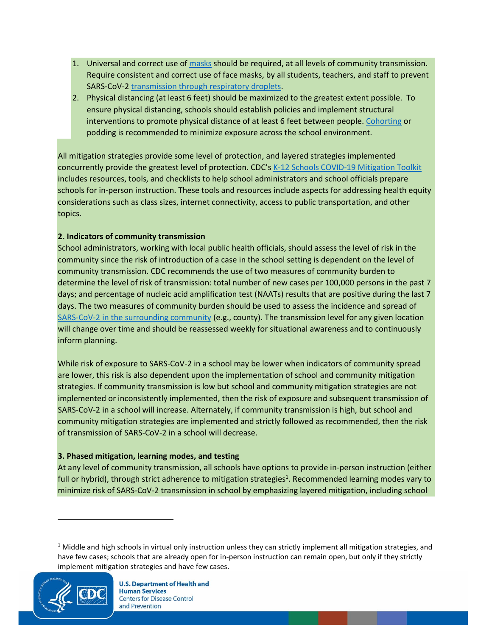- 1. Universal and correct use o[f masks](https://www.cdc.gov/coronavirus/2019-ncov/community/schools-childcare/cloth-face-cover.html) should be required, at all levels of community transmission. Require consistent and correct use of face masks, by all students, teachers, and staff to prevent SARS-CoV-2 [transmission through respiratory droplets.](https://www.cdc.gov/coronavirus/2019-ncov/prevent-getting-sick/how-covid-spreads.html)
- 2. Physical distancing (at least 6 feet) should be maximized to the greatest extent possible. To ensure physical distancing, schools should establish policies and implement structural interventions to promote physical distance of at least 6 feet between people[. Cohorting](https://www.cdc.gov/coronavirus/2019-ncov/community/schools-childcare/schools.html#anchor_1589932065842) or podding is recommended to minimize exposure across the school environment.

All mitigation strategies provide some level of protection, and layered strategies implemented concurrently provide the greatest level of protection. CDC's [K-12 Schools COVID-19 Mitigation Toolkit](https://www.cdc.gov/coronavirus/2019-ncov/community/schools-childcare/FINAL-0321420_B_K-12_Mitigation_Toolkit508.pdf) includes resources, tools, and checklists to help school administrators and school officials prepare schools for in-person instruction. These tools and resources include aspects for addressing health equity considerations such as class sizes, internet connectivity, access to public transportation, and other topics.

### **2. Indicators of community transmission**

School administrators, working with local public health officials, should assess the level of risk in the community since the risk of introduction of a case in the school setting is dependent on the level of community transmission. CDC recommends the use of two measures of community burden to determine the level of risk of transmission: total number of new cases per 100,000 persons in the past 7 days; and percentage of nucleic acid amplification test (NAATs) results that are positive during the last 7 days. The two measures of community burden should be used to assess the incidence and spread of [SARS-CoV-2 in the surrounding community](https://covid.cdc.gov/covid-data-tracker/#county-view) (e.g., county). The transmission level for any given location will change over time and should be reassessed weekly for situational awareness and to continuously inform planning.

While risk of exposure to SARS-CoV-2 in a school may be lower when indicators of community spread are lower, this risk is also dependent upon the implementation of school and community mitigation strategies. If community transmission is low but school and community mitigation strategies are not implemented or inconsistently implemented, then the risk of exposure and subsequent transmission of SARS-CoV-2 in a school will increase. Alternately, if community transmission is high, but school and community mitigation strategies are implemented and strictly followed as recommended, then the risk of transmission of SARS-CoV-2 in a school will decrease.

#### **3. Phased mitigation, learning modes, and testing**

At any level of community transmission, all schools have options to provide in-person instruction (either full or hybrid), through strict adherence to mitigation strategies<sup>1</sup>. Recommended learning modes vary to minimize risk of SARS-CoV-2 transmission in school by emphasizing layered mitigation, including school

 $1$  Middle and high schools in virtual only instruction unless they can strictly implement all mitigation strategies, and have few cases; schools that are already open for in-person instruction can remain open, but only if they strictly implement mitigation strategies and have few cases.

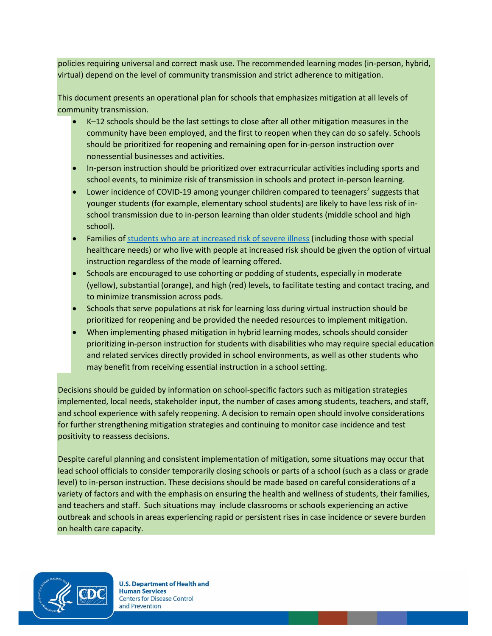policies requiring universal and correct mask use. The recommended learning modes (in-person, hybrid, virtual) depend on the level of community transmission and strict adherence to mitigation.

This document presents an operational plan for schools that emphasizes mitigation at all levels of community transmission.

- K–12 schools should be the last settings to close after all other mitigation measures in the community have been employed, and the first to reopen when they can do so safely. Schools should be prioritized for reopening and remaining open for in-person instruction over nonessential businesses and activities.
- In-person instruction should be prioritized over extracurricular activities including sports and school events, to minimize risk of transmission in schools and protect in-person learning.
- Lower incidence of COVID-19 among younger children compared to teenagers<sup>2</sup> suggests that younger students (for example, elementary school students) are likely to have less risk of inschool transmission due to in-person learning than older students (middle school and high school).
- Families o[f students who are at increased](https://www.cdc.gov/coronavirus/2019-ncov/need-extra-precautions/) risk of severe illness (including those with special healthcare needs) or who live with people at increased risk should be given the option of virtual instruction regardless of the mode of learning offered.
- Schools are encouraged to use cohorting or podding of students, especially in moderate (yellow), substantial (orange), and high (red) levels, to facilitate testing and contact tracing, and to minimize transmission across pods.
- Schools that serve populations at risk for learning loss during virtual instruction should be prioritized for reopening and be provided the needed resources to implement mitigation.
- When implementing phased mitigation in hybrid learning modes, schools should consider prioritizing in-person instruction for students with disabilities who may require special education and related services directly provided in school environments, as well as other students who may benefit from receiving essential instruction in a school setting.

Decisions should be guided by information on school-specific factors such as mitigation strategies implemented, local needs, stakeholder input, the number of cases among students, teachers, and staff, and school experience with safely reopening. A decision to remain open should involve considerations for further strengthening mitigation strategies and continuing to monitor case incidence and test positivity to reassess decisions.

Despite careful planning and consistent implementation of mitigation, some situations may occur that lead school officials to consider temporarily closing schools or parts of a school (such as a class or grade level) to in-person instruction. These decisions should be made based on careful considerations of a variety of factors and with the emphasis on ensuring the health and wellness of students, their families, and teachers and staff. Such situations may include classrooms or schools experiencing an active outbreak and schools in areas experiencing rapid or persistent rises in case incidence or severe burden on health care capacity.

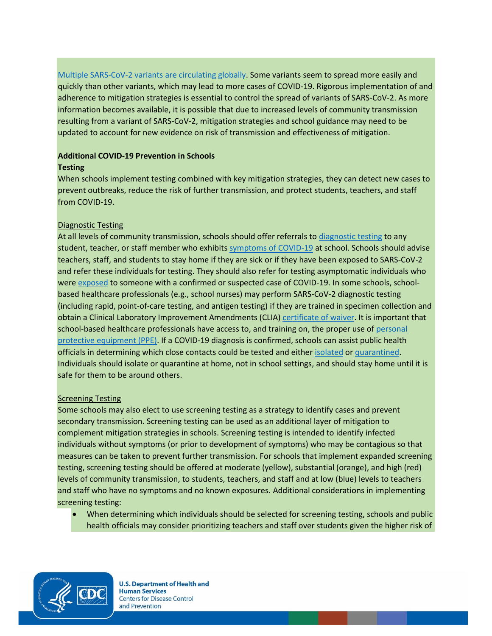[Multiple SARS-CoV-2 variants are circulating globally.](https://www.cdc.gov/coronavirus/2019-ncov/transmission/variant.html) Some variants seem to spread more easily and quickly than other variants, which may lead to more cases of COVID-19. Rigorous implementation of and adherence to mitigation strategies is essential to control the spread of variants of SARS-CoV-2. As more information becomes available, it is possible that due to increased levels of community transmission resulting from a variant of SARS-CoV-2, mitigation strategies and school guidance may need to be updated to account for new evidence on risk of transmission and effectiveness of mitigation.

## **Additional COVID-19 Prevention in Schools**

## **Testing**

When schools implement testing combined with key mitigation strategies, they can detect new cases to prevent outbreaks, reduce the risk of further transmission, and protect students, teachers, and staff from COVID-19.

## Diagnostic Testing

At all levels of community transmission, schools should offer referrals to [diagnostic testing](https://www.cdc.gov/coronavirus/2019-ncov/lab/testing.html) to any student, teacher, or staff member who exhibits [symptoms of COVID-19](https://wwwdev.cdc.gov/coronavirus/2019-ncov/community/schools-childcare/symptom-screening.html#symptoms) at school. Schools should advise teachers, staff, and students to stay home if they are sick or if they have been exposed to SARS-CoV-2 and refer these individuals for testing. They should also refer for testing asymptomatic individuals who were [exposed](https://www.cdc.gov/coronavirus/2019-ncov/php/contact-tracing/contact-tracing-plan/appendix.html#exposure) to someone with a confirmed or suspected case of COVID-19. In some schools, schoolbased healthcare professionals (e.g., school nurses) may perform SARS-CoV-2 diagnostic testing (including rapid, point-of-care testing, and antigen testing) if they are trained in specimen collection and obtain a Clinical Laboratory Improvement Amendments (CLIA[\) certificate of waiver.](https://www.fda.gov/medical-devices/ivd-regulatory-assistance/clia-waiver-application) It is important that school-based healthcare professionals have access to, and training on, the proper use of [personal](https://www.cdc.gov/coronavirus/2019-ncov/hcp/using-ppe.html)  [protective equipment \(PPE\).](https://www.cdc.gov/coronavirus/2019-ncov/hcp/using-ppe.html) If a COVID-19 diagnosis is confirmed, schools can assist public health officials in determining which close contacts could be tested and eithe[r isolated](https://www.cdc.gov/coronavirus/2019-ncov/if-you-are-sick/isolation.html) o[r quarantined.](https://www.cdc.gov/coronavirus/2019-ncov/if-you-are-sick/quarantine.html) Individuals should isolate or quarantine at home, not in school settings, and should stay home until it is safe for them to be around others.

## **Screening Testing**

Some schools may also elect to use screening testing as a strategy to identify cases and prevent secondary transmission. Screening testing can be used as an additional layer of mitigation to complement mitigation strategies in schools. Screening testing is intended to identify infected individuals without symptoms (or prior to development of symptoms) who may be contagious so that measures can be taken to prevent further transmission. For schools that implement expanded screening testing, screening testing should be offered at moderate (yellow), substantial (orange), and high (red) levels of community transmission, to students, teachers, and staff and at low (blue) levels to teachers and staff who have no symptoms and no known exposures. Additional considerations in implementing screening testing:

• When determining which individuals should be selected for screening testing, schools and public health officials may consider prioritizing teachers and staff over students given the higher risk of

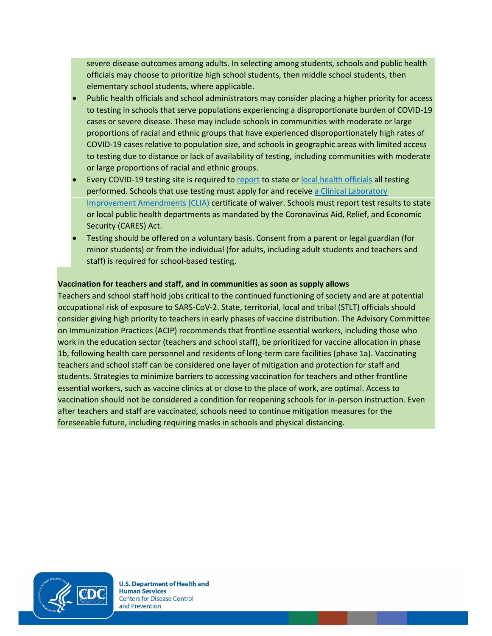severe disease outcomes among adults. In selecting among students, schools and public health officials may choose to prioritize high school students, then middle school students, then elementary school students, where applicable.

- Public health officials and school administrators may consider placing a higher priority for access to testing in schools that serve populations experiencing a disproportionate burden of COVID-19 cases or severe disease. These may include schools in communities with moderate or large proportions of racial and ethnic groups that have experienced disproportionately high rates of COVID-19 cases relative to population size, and schools in geographic areas with limited access to testing due to distance or lack of availability of testing, including communities with moderate or large proportions of racial and ethnic groups.
- Every COVID-19 testing site is required to [report](https://www.cdc.gov/coronavirus/2019-ncov/lab/reporting-lab-data.html) to state or [local health officials](https://www.cdc.gov/publichealthgateway/healthdirectories/index.html) all testing performed. Schools that use testing must apply for and receive a [Clinical Laboratory](https://www.fda.gov/medical-devices/ivd-regulatory-assistance/clia-waiver-application)  [Improvement Amendments \(CLIA\)](https://www.fda.gov/medical-devices/ivd-regulatory-assistance/clia-waiver-application) certificate of waiver. Schools must report test results to state or local public health departments as mandated by the Coronavirus Aid, Relief, and Economic Security (CARES) Act.
- Testing should be offered on a voluntary basis. Consent from a parent or legal guardian (for minor students) or from the individual (for adults, including adult students and teachers and staff) is required for school-based testing.

#### **Vaccination for teachers and staff, and in communities as soon as supply allows**

Teachers and school staff hold jobs critical to the continued functioning of society and are at potential occupational risk of exposure to SARS-CoV-2. State, territorial, local and tribal (STLT) officials should consider giving high priority to teachers in early phases of vaccine distribution. The Advisory Committee on Immunization Practices (ACIP) recommends that frontline essential workers, including those who work in the education sector (teachers and school staff), be prioritized for vaccine allocation in phase 1b, following health care personnel and residents of long-term care facilities (phase 1a). Vaccinating teachers and school staff can be considered one layer of mitigation and protection for staff and students. Strategies to minimize barriers to accessing vaccination for teachers and other frontline essential workers, such as vaccine clinics at or close to the place of work, are optimal. Access to vaccination should not be considered a condition for reopening schools for in-person instruction. Even after teachers and staff are vaccinated, schools need to continue mitigation measures for the foreseeable future, including requiring masks in schools and physical distancing.

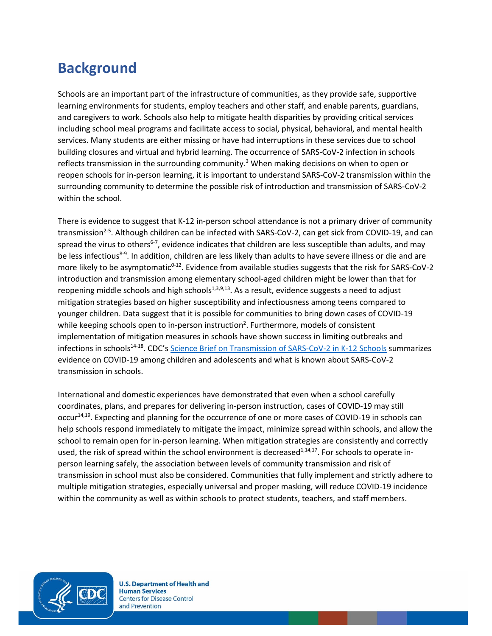# <span id="page-6-0"></span>**Background**

Schools are an important part of the infrastructure of communities, as they provide safe, supportive learning environments for students, employ teachers and other staff, and enable parents, guardians, and caregivers to work. Schools also help to mitigate health disparities by providing critical services including school meal programs and facilitate access to social, physical, behavioral, and mental health services. Many students are either missing or have had interruptions in these services due to school building closures and virtual and hybrid learning. The occurrence of SARS-CoV-2 infection in schools reflects transmission in the surrounding community.<sup>3</sup> When making decisions on when to open or reopen schools for in-person learning, it is important to understand SARS-CoV-2 transmission within the surrounding community to determine the possible risk of introduction and transmission of SARS-CoV-2 within the school.

There is evidence to suggest that K-12 in-person school attendance is not a primary driver of community transmission<sup>2-5</sup>. Although children can be infected with SARS-CoV-2, can get sick from COVID-19, and can spread the virus to others<sup>6-7</sup>, evidence indicates that children are less susceptible than adults, and may be less infectious<sup>8-9</sup>. In addition, children are less likely than adults to have severe illness or die and are more likely to be asymptomatic<sup>0-12</sup>. Evidence from available studies suggests that the risk for SARS-CoV-2 introduction and transmission among elementary school-aged children might be lower than that for reopening middle schools and high schools<sup>1,3,9,13</sup>. As a result, evidence suggests a need to adjust mitigation strategies based on higher susceptibility and infectiousness among teens compared to younger children. Data suggest that it is possible for communities to bring down cases of COVID-19 while keeping schools open to in-person instruction<sup>2</sup>. Furthermore, models of consistent implementation of mitigation measures in schools have shown success in limiting outbreaks and infections in schools<sup>14-18</sup>. CDC's [Science Brief on Transmission of SARS-CoV-2 in K-12 Schools](https://www.cdc.gov/coronavirus/2019-ncov/more/science-and-research/transmission_k_12_schools.html) summarizes evidence on COVID-19 among children and adolescents and what is known about SARS-CoV-2 transmission in schools.

International and domestic experiences have demonstrated that even when a school carefully coordinates, plans, and prepares for delivering in-person instruction, cases of COVID-19 may still occur<sup>14,19</sup>. Expecting and planning for the occurrence of one or more cases of COVID-19 in schools can help schools respond immediately to mitigate the impact, minimize spread within schools, and allow the school to remain open for in-person learning. When mitigation strategies are consistently and correctly used, the risk of spread within the school environment is decreased<sup>1,14,17</sup>. For schools to operate inperson learning safely, the association between levels of community transmission and risk of transmission in school must also be considered. Communities that fully implement and strictly adhere to multiple mitigation strategies, especially universal and proper masking, will reduce COVID-19 incidence within the community as well as within schools to protect students, teachers, and staff members.

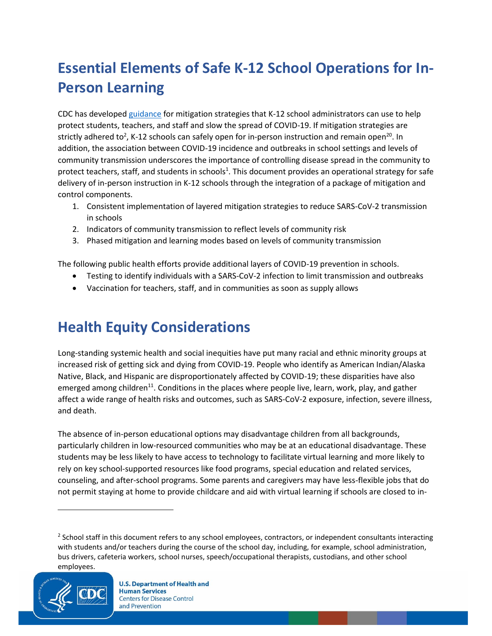# <span id="page-7-1"></span>**Essential Elements of Safe K-12 School Operations for In-Person Learning**

CDC has develope[d guidance](https://www.cdc.gov/coronavirus/2019-ncov/community/schools-childcare/schools.html) for mitigation strategies that K-12 school administrators can use to help protect students, teachers, and staff and slow the spread of COVID-19. If mitigation strategies are strictly adhered to<sup>2</sup>, K-12 schools can safely open for in-person instruction and remain open<sup>20</sup>. In addition, the association between COVID-19 incidence and outbreaks in school settings and levels of community transmission underscores the importance of controlling disease spread in the community to protect teachers, staff, and students in schools<sup>1</sup>. This document provides an operational strategy for safe delivery of in-person instruction in K-12 schools through the integration of a package of mitigation and control components.

- 1. Consistent implementation of layered mitigation strategies to reduce SARS-CoV-2 transmission in schools
- 2. Indicators of community transmission to reflect levels of community risk
- 3. Phased mitigation and learning modes based on levels of community transmission

The following public health efforts provide additional layers of COVID-19 prevention in schools.

- Testing to identify individuals with a SARS-CoV-2 infection to limit transmission and outbreaks
- Vaccination for teachers, staff, and in communities as soon as supply allows

# <span id="page-7-0"></span>**Health Equity Considerations**

Long-standing systemic health and social inequities have put many racial and ethnic minority groups at increased risk of getting sick and dying from COVID-19. People who identify as American Indian/Alaska Native, Black, and Hispanic are disproportionately affected by COVID-19; these disparities have also emerged among children<sup>11</sup>. Conditions in the places where people live, learn, work, play, and gather affect a wide range of health risks and outcomes, such as SARS-CoV-2 exposure, infection, severe illness, and death.

The absence of in-person educational options may disadvantage children from all backgrounds, particularly children in low-resourced communities who may be at an educational disadvantage. These students may be less likely to have access to technology to facilitate virtual learning and more likely to rely on key school-supported resources like food programs, special education and related services, counseling, and after-school programs. Some parents and caregivers may have less-flexible jobs that do not permit staying at home to provide childcare and aid with virtual learning if schools are closed to in-

<sup>&</sup>lt;sup>2</sup> School staff in this document refers to any school employees, contractors, or independent consultants interacting with students and/or teachers during the course of the school day, including, for example, school administration, bus drivers, cafeteria workers, school nurses, speech/occupational therapists, custodians, and other school employees.

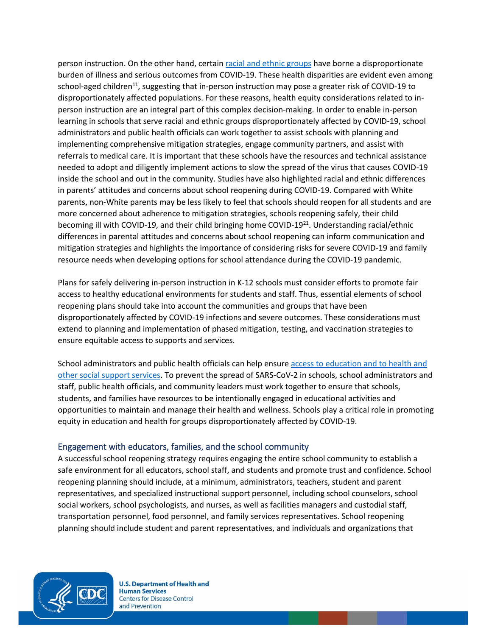person instruction. On the other hand, certai[n racial and ethnic groups](https://www.cdc.gov/coronavirus/2019-ncov/community/health-equity/racial-ethnic-disparities/index.html) have borne a disproportionate burden of illness and serious outcomes from COVID-19. These health disparities are evident even among school-aged children<sup>11</sup>, suggesting that in-person instruction may pose a greater risk of COVID-19 to disproportionately affected populations. For these reasons, health equity considerations related to inperson instruction are an integral part of this complex decision-making. In order to enable in-person learning in schools that serve racial and ethnic groups disproportionately affected by COVID-19, school administrators and public health officials can work together to assist schools with planning and implementing comprehensive mitigation strategies, engage community partners, and assist with referrals to medical care. It is important that these schools have the resources and technical assistance needed to adopt and diligently implement actions to slow the spread of the virus that causes COVID-19 inside the school and out in the community. Studies have also highlighted racial and ethnic differences in parents' attitudes and concerns about school reopening during COVID-19. Compared with White parents, non-White parents may be less likely to feel that schools should reopen for all students and are more concerned about adherence to mitigation strategies, schools reopening safely, their child becoming ill with COVID-19, and their child bringing home COVID-19<sup>21</sup>. Understanding racial/ethnic differences in parental attitudes and concerns about school reopening can inform communication and mitigation strategies and highlights the importance of considering risks for severe COVID-19 and family resource needs when developing options for school attendance during the COVID-19 pandemic.

Plans for safely delivering in-person instruction in K-12 schools must consider efforts to promote fair access to healthy educational environments for students and staff. Thus, essential elements of school reopening plans should take into account the communities and groups that have been disproportionately affected by COVID-19 infections and severe outcomes. These considerations must extend to planning and implementation of phased mitigation, testing, and vaccination strategies to ensure equitable access to supports and services.

School administrators and public health officials can help ensure [access to education and to health](https://www.cdc.gov/coronavirus/2019-ncov/community/health-equity/index.html) and other social support services. To prevent the spread of SARS-CoV-2 in schools, school administrators and staff, public health officials, and community leaders must work together to ensure that schools, students, and families have resources to be intentionally engaged in educational activities and opportunities to maintain and manage their health and wellness. Schools play a critical role in promoting equity in education and health for groups disproportionately affected by COVID-19.

#### Engagement with educators, families, and the school community

A successful school reopening strategy requires engaging the entire school community to establish a safe environment for all educators, school staff, and students and promote trust and confidence. School reopening planning should include, at a minimum, administrators, teachers, student and parent representatives, and specialized instructional support personnel, including school counselors, school social workers, school psychologists, and nurses, as well as facilities managers and custodial staff, transportation personnel, food personnel, and family services representatives. School reopening planning should include student and parent representatives, and individuals and organizations that

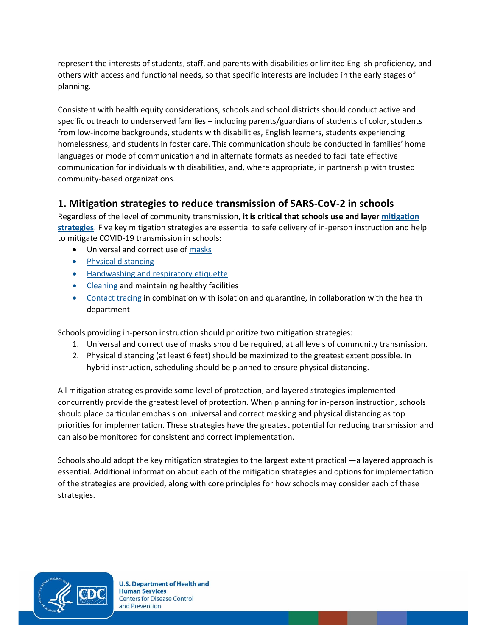represent the interests of students, staff, and parents with disabilities or limited English proficiency, and others with access and functional needs, so that specific interests are included in the early stages of planning.

Consistent with health equity considerations, schools and school districts should conduct active and specific outreach to underserved families – including parents/guardians of students of color, students from low-income backgrounds, students with disabilities, English learners, students experiencing homelessness, and students in foster care. This communication should be conducted in families' home languages or mode of communication and in alternate formats as needed to facilitate effective communication for individuals with disabilities, and, where appropriate, in partnership with trusted community-based organizations.

## **1. Mitigation strategies to reduce transmission of SARS-CoV-2 in schools**

Regardless of the level of community transmission, **it is critical that schools use and laye[r mitigation](https://www.cdc.gov/coronavirus/2019-ncov/community/community-mitigation.html)  [strategies](https://www.cdc.gov/coronavirus/2019-ncov/community/community-mitigation.html)**. Five key mitigation strategies are essential to safe delivery of in-person instruction and help to mitigate COVID-19 transmission in schools:

- Universal and correct use o[f masks](https://www.cdc.gov/coronavirus/2019-ncov/community/schools-childcare/cloth-face-cover.html)
- [Physical distancing](https://www.cdc.gov/coronavirus/2019-ncov/prevent-getting-sick/social-distancing.html)
- [Handwashing and respiratory etiquette](https://www.cdc.gov/handwashing/when-how-handwashing.html)
- [Cleaning](https://www.cdc.gov/coronavirus/2019-ncov/community/clean-disinfect/index.html) and maintaining healthy facilities
- [Contact tracing](https://www.cdc.gov/coronavirus/2019-ncov/php/open-america/contact-tracing-resources.html) in combination with isolation and quarantine, in collaboration with the health department

Schools providing in-person instruction should prioritize two mitigation strategies:

- 1. Universal and correct use of masks should be required, at all levels of community transmission.
- 2. Physical distancing (at least 6 feet) should be maximized to the greatest extent possible. In hybrid instruction, scheduling should be planned to ensure physical distancing.

All mitigation strategies provide some level of protection, and layered strategies implemented concurrently provide the greatest level of protection. When planning for in-person instruction, schools should place particular emphasis on universal and correc[t masking](https://www.cdc.gov/coronavirus/2019-ncov/community/schools-childcare/cloth-face-cover.html) an[d physical distancing](https://www.cdc.gov/coronavirus/2019-ncov/prevent-getting-sick/social-distancing.html) as top priorities for implementation. These strategies have the greatest potential for reducing transmission and can also be monitored for consistent and correct implementation.

Schools should adopt the key mitigation strategies to the largest extent practical —a layered approach is essential. Additional information about each of the mitigation strategies and options for implementation of the strategies are provided, along with core principles for how schools may consider each of these strategies.

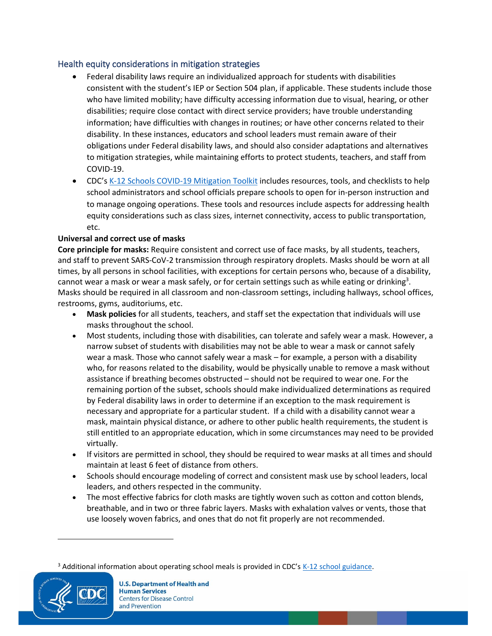### Health equity considerations in mitigation strategies

- Federal disability laws require an individualized approach for students with disabilities consistent with the student's IEP or Section 504 plan, if applicable. These students include those who have limited mobility; have difficulty accessing information due to visual, hearing, or other disabilities; require close contact with direct service providers; have trouble understanding information; have difficulties with changes in routines; or have other concerns related to their disability. In these instances, educators and school leaders must remain aware of their obligations under Federal disability laws, and should also consider adaptations and alternatives to mitigation strategies, while maintaining efforts to protect students, teachers, and staff from COVID-19.
- CDC's [K-12 Schools COVID-19 Mitigation Toolkit](https://www.cdc.gov/coronavirus/2019-ncov/community/schools-childcare/FINAL-0321420_B_K-12_Mitigation_Toolkit508.pdf) includes resources, tools, and checklists to help school administrators and school officials prepare schools to open for in-person instruction and to manage ongoing operations. These tools and resources include aspects for addressing health equity considerations such as class sizes, internet connectivity, access to public transportation, etc.

#### **Universal and correct use of masks**

**Core principle for masks:** Require consistent and correct use of face [masks,](https://www.cdc.gov/coronavirus/2019-ncov/community/schools-childcare/cloth-face-cover.html) by all students, teachers, and staff to prevent SARS-CoV-[2 transmission through respiratory droplets.](https://www.cdc.gov/coronavirus/2019-ncov/prevent-getting-sick/how-covid-spreads.html) Masks should be worn at all times, by all persons in school facilities, with exceptions for certain persons who, because of a disability, cannot wear a mask or wear a mask safely, or for certain settings such as while eating or drinking<sup>3</sup>. Masks should be required in all classroom and non-classroom settings, including hallways, school offices, restrooms, gyms, auditoriums, etc.

- **Mask policies** for all students, teachers, and staff set the expectation that individuals will use masks throughout the school.
- Most students, including those with disabilities, can tolerate and safely wear a mask. However, a narrow subset of students with disabilities may not be able to wear a mask or cannot safely wear a mask. Those who cannot safely wear a mask – for example, a person with a disability who, for reasons related to the disability, would be physically unable to remove a mask without assistance if breathing becomes obstructed – should not be required to wear one. For the remaining portion of the subset, schools should make individualized determinations as required by Federal disability laws in order to determine if an exception to the mask requirement is necessary and appropriate for a particular student. If a child with a disability cannot wear a mask, maintain physical distance, or adhere to other public health requirements, the student is still entitled to an appropriate education, which in some circumstances may need to be provided virtually.
- If visitors are permitted in school, they should be required to wear masks at all times and should maintain at least 6 feet of distance from others.
- Schools should encourage modeling of correct and consistent mask use by school leaders, local leaders, and others respected in the community.
- The most effective fabrics for cloth masks are tightly woven such as cotton and cotton blends, breathable, and in two or three fabric layers. Masks with exhalation valves or vents, those that use loosely woven fabrics, and ones that do not fit properly are not recommended.

 $3$  Additional information about operating school meals is provided in CDC's  $K-12$  school guidance.

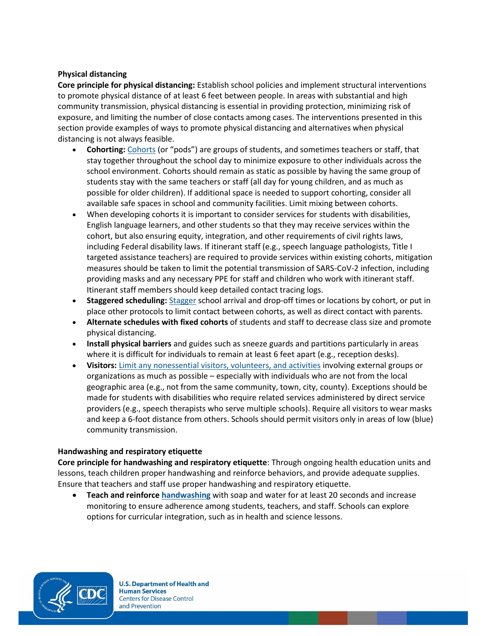#### **Physical distancing**

**Core principle for physical distancing:** Establish school policies and implement structural interventions to promote physical distance of at least 6 feet between people. In areas with substantial and high community transmission, physical distancing is essential in providing protection, minimizing risk of exposure, and limiting the number of close contacts among cases. The interventions presented in this section provide examples of ways to promote physical distancing and alternatives when physical distancing is not always feasible.

- **Cohorting:** [Cohorts](https://www.cdc.gov/coronavirus/2019-ncov/community/schools-childcare/schools.html#anchor_1589932065842) (or "pods") are groups of students, and sometimes teachers or staff, that stay together throughout the school day to minimize exposure to other individuals across the school environment. Cohorts should remain as static as possible by having the same group of students stay with the same teachers or staff (all day for young children, and as much as possible for older children). If additional space is needed to support cohorting, consider all available safe spaces in school and community facilities. Limit mixing between cohorts.
- When developing cohorts it is important to consider services for students with disabilities, English language learners, and other students so that they may receive services within the cohort, but also ensuring equity, integration, and other requirements of civil rights laws, including Federal disability laws. If itinerant staff (e.g., speech language pathologists, Title I targeted assistance teachers) are required to provide services within existing cohorts, mitigation measures should be taken to limit the potential transmission of SARS-CoV-2 infection, including providing masks and any necessary PPE for staff and children who work with itinerant staff. Itinerant staff members should keep detailed contact tracing logs.
- **Staggered scheduling:** [Stagger](https://www.cdc.gov/coronavirus/2019-ncov/community/schools-childcare/schools.html#anchor_1589932065842) school arrival and drop-off times or locations by cohort, or put in place other protocols to limit contact between cohorts, as well as direct contact with parents.
- **[Alternate schedules](https://www.cdc.gov/coronavirus/2019-ncov/community/schools-childcare/schools.html#anchor_1589932065842) with fixed cohorts** of students and staff to decrease class size and promote physical distancing.
- **[Install physical barriers](https://www.cdc.gov/coronavirus/2019-ncov/community/schools-childcare/schools.html#anchor_1589932027380)** and guides such as sneeze guards and partitions particularly in areas where it is difficult for individuals to remain at least 6 feet apart (e.g., reception desks).
- **Visitors:** [Limit any nonessential visitors, volunteers, and activities](https://www.cdc.gov/coronavirus/2019-ncov/community/schools-childcare/schools.html#anchor_1589932065842) involving external groups or organizations as much as possible – especially with individuals who are not from the local geographic area (e.g., not from the same community, town, city, county). Exceptions should be made for students with disabilities who require related services administered by direct service providers (e.g., speech therapists who serve multiple schools). Require all visitors to wear masks and keep a 6-foot distance from others. Schools should permit visitors only in areas of low (blue) community transmission.

#### **Handwashing and respiratory etiquette**

**Core principle for handwashing and respiratory etiquette**: Through ongoing health education units and lessons, teach children proper handwashing and reinforce behaviors, and provide adequate supplies. Ensure that teachers and staff use proper handwashing and respiratory etiquette.

• **[Teach](https://www.cdc.gov/coronavirus/2019-ncov/community/schools-childcare/schools.html#anchor_1589931996560) and reinforce [handwashing](https://www.cdc.gov/handwashing/when-how-handwashing.html)** with soap and water for at least 20 seconds and increase monitoring to ensure adherence among students, teachers, and staff. Schools can explore options for curricular integration, such as in health and science lessons.

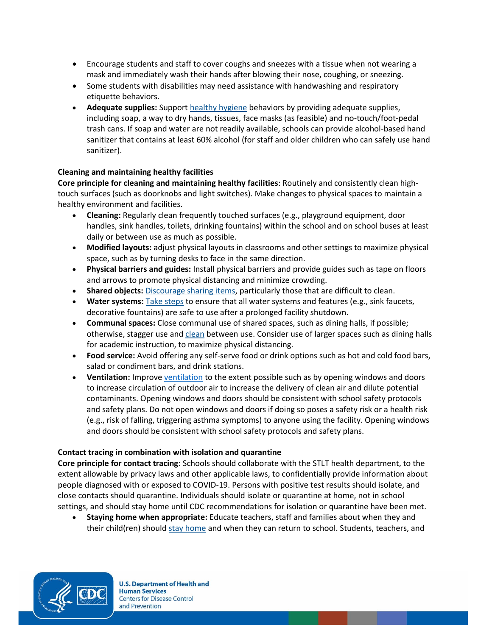- Encourage students and staff to cover coughs and sneezes with a tissue when not wearing a mask and immediately wash their hands after blowing their nose, coughing, or sneezing.
- Some students with disabilities may need assistance with handwashing and respiratory etiquette behaviors.
- **Adequate supplies:** Support [healthy hygiene](https://www.cdc.gov/handwashing/when-how-handwashing.html) behaviors by providing adequate supplies, including soap, a way to dry hands, tissues, face masks (as feasible) and no-touch/foot-pedal trash cans. If soap and water are not readily available, schools can provide alcohol-based hand sanitizer that contains at least 60% alcohol (for staff and older children who can safely use hand sanitizer).

#### **Cleaning and maintaining healthy facilities**

**Core principle for cleaning and maintaining healthy facilities**: Routinely and consistently clean hightouch surfaces (such as doorknobs and light switches). Make changes to physical spaces to maintain a healthy environment and facilities.

- **Cleaning:** Regularly clean frequently touched surfaces (e.g., playground equipment, door handles, sink handles, toilets, drinking fountains) within the school and on school buses at least daily or between use as much as possible.
- **Modified layouts:** adjust physical layouts in classrooms and other settings to maximize physical space, such as by turning desks to face in the same direction.
- **Physical barriers and guides:** Install physical barriers and provide guides such as tape on floors and arrows to promote physical distancing and minimize crowding.
- **Shared objects:** [Discourage sharing items,](https://www.cdc.gov/coronavirus/2019-ncov/community/schools-childcare/clean-disinfect-hygiene.html#Key) particularly those that are difficult to clean.
- **Water systems:** [Take steps](https://www.cdc.gov/coronavirus/2019-ncov/php/building-water-system.html) to ensure that all water systems and features (e.g., sink faucets, decorative fountains) are safe to use after a prolonged facility shutdown.
- **Communal spaces:** Close communal use of shared spaces, such as dining halls, if possible; otherwise, stagger use and [clean](https://www.cdc.gov/coronavirus/2019-ncov/community/reopen-guidance.html) between use. Consider use of larger spaces such as dining halls for academic instruction, to maximize physical distancing.
- **Food service:** Avoid offering any self-serve food or drink options such as hot and cold food bars, salad or condiment bars, and drink stations.
- **Ventilation:** Improve [ventilation](https://www.cdc.gov/coronavirus/2019-ncov/community/ventilation.html) to the extent possible such as by opening windows and doors to increase circulation of outdoor air to increase the delivery of clean air and dilute potential contaminants. Opening windows and doors should be consistent with school safety protocols and safety plans. Do not open windows and doors if doing so poses a safety risk or a health risk (e.g., risk of falling, triggering asthma symptoms) to anyone using the facility. Opening windows and doors should be consistent with school safety protocols and safety plans.

#### **Contact tracing in combination with isolation and quarantine**

**Core principle for contact tracing**: Schools should collaborate with the STLT health department, to the extent allowable by privacy laws and other applicable laws, to confidentially provide information about people diagnosed with or exposed to COVID-19. Persons with positive test results should isolate, and close contacts should quarantine. Individuals should isolate or quarantine at home, not in school settings, and should stay home until CDC recommendations for isolation or quarantine have been met.

• **Staying home when appropriate:** Educate teachers, staff and families about when they and their child(ren) should [stay home](https://www.cdc.gov/coronavirus/2019-ncov/if-you-are-sick/quarantine.html) and when they can return to school. Students, teachers, and

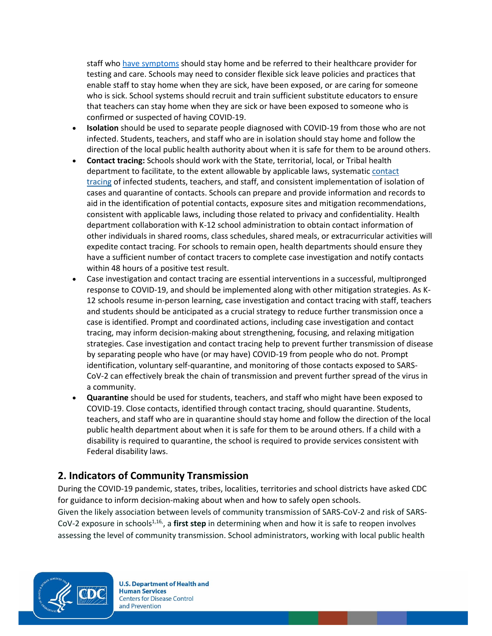staff who [have symptoms](https://www.cdc.gov/coronavirus/2019-ncov/symptoms-testing/coronavirus-self-checker.html) should stay home and be referred to their healthcare provider for testing and care. Schools may need to conside[r flexible sick leave policies and practices](https://www.cdc.gov/coronavirus/2019-ncov/community/schools-childcare/schools.html) that enable staff to stay home when they are sick, have been exposed, or are caring for someone who is sick. School systems should recruit and train sufficient substitute educators to ensure that teachers can stay home when they are sick or have been exposed to someone who is confirmed or suspected of having COVID-19.

- **Isolation** should be used to separate people diagnosed with COVID-19 from those who are not infected. Students, teachers, and staff who are in [isolation](https://www.cdc.gov/coronavirus/2019-ncov/if-you-are-sick/isolation.html) should stay home and follow the direction of the local public health authority about when it is safe for them to be around others.
- **Contact tracing:** Schools should work with the State, territorial, local, or Tribal health department to facilitate, to the extent allowable by applicable laws, systematic [contact](https://www.cdc.gov/coronavirus/2019-ncov/php/open-america/contact-tracing-resources.html)  [tracing](https://www.cdc.gov/coronavirus/2019-ncov/php/open-america/contact-tracing-resources.html) of infected students, teachers, and staff, and consistent implementation of isolation of cases and quarantine of contacts. Schools can prepare and provide information and records to aid in the identification of potential contacts, exposure sites and mitigation recommendations, consistent with applicable laws, including those related to privacy and confidentiality. Health department collaboration with K-12 school administration to obtain contact information of other individuals in shared rooms, class schedules, shared meals, or extracurricular activities will expedite contact tracing. For schools to remain open, health departments should ensure they have a sufficient number of contact tracers to complete case investigation and notify contacts within 48 hours of a positive test result.
- Case investigation and contact tracing are essential interventions in a successful, multipronged response to COVID-19, and should be implemented along with other mitigation strategies. As K-12 schools resume in-person learning, case investigation and contact tracing with staff, teachers and students should be anticipated as a crucial strategy to reduce further transmission once a case is identified. Prompt and coordinated actions, including case investigation and contact tracing, may inform decision-making about strengthening, focusing, and relaxing mitigation strategies. Case investigation and contact tracing help to prevent further transmission of disease by separating people who have (or may have) COVID-19 from people who do not. Prompt identification, voluntary self-quarantine, and monitoring of those contacts exposed to SARS-CoV-2 can effectively break the chain of transmission and prevent further spread of the virus in a community.
- **Quarantine** should be used for students, teachers, and staff who might have been exposed to COVID-19. Close contacts, identified through contact tracing, shoul[d quarantine.](https://www.cdc.gov/coronavirus/2019-ncov/if-you-are-sick/quarantine.html) Students, teachers, and staff who are in quarantine should stay home and follow the direction of the local public health department about when it is safe for them to be around others. If a child with a disability is required to quarantine, the school is required to provide services consistent with Federal disability laws.

## **2. Indicators of Community Transmission**

During the COVID-19 pandemic, states, tribes, localities, territories and school districts have asked CDC for guidance to inform decision-making about when and how to safely open schools. Given the likely association between levels of community transmission of SARS-CoV-2 and risk of SARS-CoV-2 exposure in schools<sup>1,16</sup>, a first step in determining when and how it is safe to reopen involves assessing the level of community transmission. School administrators, working with local public health

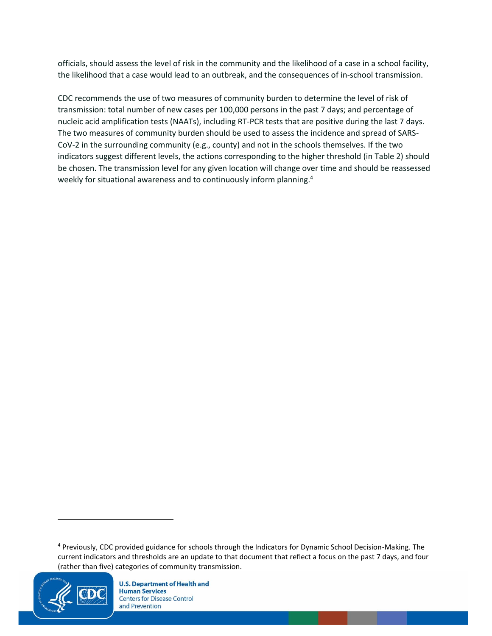officials, should assess the level of risk in the community and the likelihood of a case in a school facility, the likelihood that a case would lead to an outbreak, and the consequences of in-school transmission.

CDC recommends the use of two measures of community burden to determine the level of risk of transmission: total number of new cases per 100,000 persons in the past 7 days; and percentage of nucleic acid amplification tests (NAATs), including RT-PCR tests that are positive during the last 7 days. The two measures of community burden should be used to assess the incidence and spread of SARS-CoV-2 in the surrounding community (e.g., county) and not in the schools themselves. If the two indicators suggest different levels, the actions corresponding to the higher threshold (in Table 2) should be chosen. The transmission level for any given location will change over time and should be reassessed weekly for situational awareness and to continuously inform planning.<sup>4</sup>

<sup>4</sup> Previously, CDC provided guidance for schools through the Indicators for Dynamic School Decision-Making. The current indicators and thresholds are an update to that document that reflect a focus on the past 7 days, and four (rather than five) categories of community transmission.

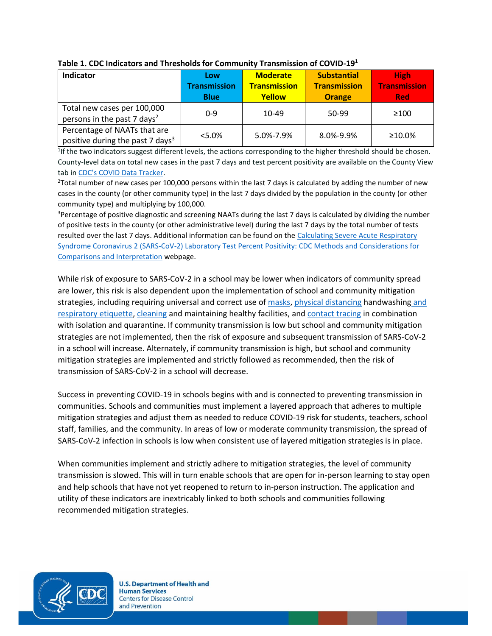| <b>Indicator</b>                                                             | Low<br><b>Transmission</b><br><b>Blue</b> | <b>Moderate</b><br><b>Transmission</b><br><b>Yellow</b> | <b>Substantial</b><br><b>Transmission</b><br><b>Orange</b> | <b>High</b><br><b>Transmission</b><br><b>Red</b> |
|------------------------------------------------------------------------------|-------------------------------------------|---------------------------------------------------------|------------------------------------------------------------|--------------------------------------------------|
| Total new cases per 100,000<br>persons in the past 7 days <sup>2</sup>       | $0 - 9$                                   | 10-49                                                   | 50-99                                                      | >100                                             |
| Percentage of NAATs that are<br>positive during the past 7 days <sup>3</sup> | $< 5.0\%$                                 | 5.0%-7.9%                                               | 8.0%-9.9%                                                  | ≥10.0%                                           |

#### **Table 1. CDC Indicators and Thresholds for Community Transmission of COVID-19<sup>1</sup>**

<sup>1</sup>If the two indicators suggest different levels, the actions corresponding to the higher threshold should be chosen. County-level data on total new cases in the past 7 days and test percent positivity are available on the County View tab in [CDC's COVID Data Tracker](https://covid.cdc.gov/covid-data-tracker/#county-view).

 $2$ Total number of new cases per 100,000 persons within the last 7 days is calculated by adding the number of new cases in the county (or other community type) in the last 7 days divided by the population in the county (or other community type) and multiplying by 100,000.

<sup>3</sup>Percentage of positive diagnostic and screening NAATs during the last 7 days is calculated by dividing the number of positive tests in the county (or other administrative level) during the last 7 days by the total number of tests resulted over the last 7 days. Additional information can be found on the [Calculating Severe Acute Respiratory](https://www.cdc.gov/coronavirus/2019-ncov/lab/resources/calculating-percent-positivity.html)  [Syndrome Coronavirus 2 \(SARS-CoV-2\) Laboratory Test Percent Positivity: CDC Methods and Considerations for](https://www.cdc.gov/coronavirus/2019-ncov/lab/resources/calculating-percent-positivity.html)  [Comparisons and Interpretation](https://www.cdc.gov/coronavirus/2019-ncov/lab/resources/calculating-percent-positivity.html) webpage.

While risk of exposure to SARS-CoV-2 in a school may be lower when indicators of community spread are lower, this risk is also dependent upon the implementation of school and community mitigation strategies, including requiring universal and correct use o[f masks,](https://www.cdc.gov/coronavirus/2019-ncov/community/schools-childcare/cloth-face-cover.html) [physical distancing](https://www.cdc.gov/coronavirus/2019-ncov/prevent-getting-sick/social-distancing.html) [handwashing](https://www.cdc.gov/handwashing/when-how-handwashing.html) and [respiratory etiquette,](https://www.cdc.gov/handwashing/when-how-handwashing.html) [cleaning](https://www.cdc.gov/coronavirus/2019-ncov/community/clean-disinfect/index.html) and maintaining healthy facilities, an[d contact tracing](https://www.cdc.gov/coronavirus/2019-ncov/php/open-america/contact-tracing-resources.html) in combination with isolation and quarantine. If community transmission is low but school and community mitigation strategies are not implemented, then the risk of exposure and subsequent transmission of SARS-CoV-2 in a school will increase. Alternately, if community transmission is high, but school and community mitigation strategies are implemented and strictly followed as recommended, then the risk of transmission of SARS-CoV-2 in a school will decrease.

Success in preventing COVID-19 in schools begins with and is connected to preventing transmission in communities. Schools and communities must implement a layered approach that adheres to multiple mitigation strategies and adjust them as needed to reduce COVID-19 risk for students, teachers, school staff, families, and the community. In areas of low or moderate community transmission, the spread of SARS-CoV-2 infection in schools is low when consistent use of layered mitigation strategies is in place.

When communities implement and strictly adhere to mitigation strategies, the level of community transmission is slowed. This will in turn enable schools that are open for in-person learning to stay open and help schools that have not yet reopened to return to in-person instruction. The application and utility of these indicators are inextricably linked to both schools and communities following recommended mitigation strategies.

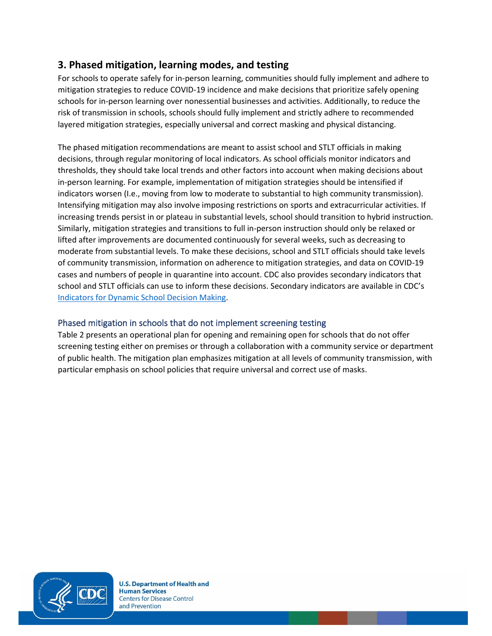## **3. Phased mitigation, learning modes, and testing**

For schools to operate safely for in-person learning, communities should fully implement and adhere to mitigation strategies to reduce COVID-19 incidence and make decisions that prioritize safely opening schools for in-person learning over nonessential businesses and activities. Additionally, to reduce the risk of transmission in schools, schools should fully implement and strictly adhere to recommended layered mitigation strategies, especially universal and correct masking and physical distancing.

The phased mitigation recommendations are meant to assist school and STLT officials in making decisions, through regular monitoring of local indicators. As school officials monitor indicators and thresholds, they should take local trends and other factors into account when making decisions about in-person learning. For example, implementation of mitigation strategies should be intensified if indicators worsen (I.e., moving from low to moderate to substantial to high community transmission). Intensifying mitigation may also involve imposing restrictions on sports and extracurricular activities. If increasing trends persist in or plateau in substantial levels, school should transition to hybrid instruction. Similarly, mitigation strategies and transitions to full in-person instruction should only be relaxed or lifted after improvements are documented continuously for several weeks, such as decreasing to moderate from substantial levels. To make these decisions, school and STLT officials should take levels of community transmission, information on adherence to mitigation strategies, and data on COVID-19 cases and numbers of people in quarantine into account. CDC also provides secondary indicators that school and STLT officials can use to inform these decisions. Secondary indicators are available in CDC's [Indicators for Dynamic School Decision Making.](https://www.cdc.gov/coronavirus/2019-ncov/community/schools-childcare/indicators.html)

## Phased mitigation in schools that do not implement screening testing

Table 2 presents an operational plan for opening and remaining open for schools that do not offer screening testing either on premises or through a collaboration with a community service or department of public health. The mitigation plan emphasizes mitigation at all levels of community transmission, with particular emphasis on school policies that require universal and correct use of masks.

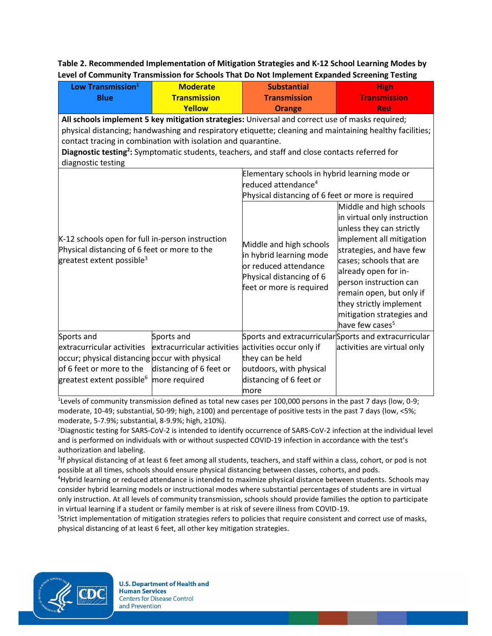**Table 2. Recommended Implementation of Mitigation Strategies and K-12 School Learning Modes by Level of Community Transmission for Schools That Do Not Implement Expanded Screening Testing**

| Low Transmission <sup>1</sup><br><b>Blue</b>                                                                                                                                                                                                                                                                                                                                                                                                               | <b>Moderate</b><br><b>Transmission</b>                                 | <b>Substantial</b><br><b>Transmission</b>                                                                                             | <b>High</b><br><b>Transmission</b>                                                                                                                                                                                                                                                                                                         |  |
|------------------------------------------------------------------------------------------------------------------------------------------------------------------------------------------------------------------------------------------------------------------------------------------------------------------------------------------------------------------------------------------------------------------------------------------------------------|------------------------------------------------------------------------|---------------------------------------------------------------------------------------------------------------------------------------|--------------------------------------------------------------------------------------------------------------------------------------------------------------------------------------------------------------------------------------------------------------------------------------------------------------------------------------------|--|
| <b>Yellow</b><br><b>Red</b><br>Orange<br>All schools implement 5 key mitigation strategies: Universal and correct use of masks required;<br>physical distancing; handwashing and respiratory etiquette; cleaning and maintaining healthy facilities;<br>contact tracing in combination with isolation and quarantine.<br>Diagnostic testing <sup>2</sup> : Symptomatic students, teachers, and staff and close contacts referred for<br>diagnostic testing |                                                                        |                                                                                                                                       |                                                                                                                                                                                                                                                                                                                                            |  |
| K-12 schools open for full in-person instruction<br>Physical distancing of 6 feet or more to the<br>greatest extent possible <sup>3</sup>                                                                                                                                                                                                                                                                                                                  |                                                                        | Elementary schools in hybrid learning mode or<br>reduced attendance <sup>4</sup><br>Physical distancing of 6 feet or more is required |                                                                                                                                                                                                                                                                                                                                            |  |
|                                                                                                                                                                                                                                                                                                                                                                                                                                                            |                                                                        | Middle and high schools<br>in hybrid learning mode<br>or reduced attendance<br>Physical distancing of 6<br>feet or more is required   | Middle and high schools<br>in virtual only instruction<br>unless they can strictly<br>implement all mitigation<br>strategies, and have few<br>cases; schools that are<br>already open for in-<br>person instruction can<br>remain open, but only if<br>they strictly implement<br>mitigation strategies and<br>have few cases <sup>5</sup> |  |
| Sports and                                                                                                                                                                                                                                                                                                                                                                                                                                                 | Sports and                                                             | Sports and extracurricular Sports and extracurricular                                                                                 |                                                                                                                                                                                                                                                                                                                                            |  |
| extracurricular activities<br>occur; physical distancing occur with physical<br>of 6 feet or more to the<br>greatest extent possible <sup>6</sup>                                                                                                                                                                                                                                                                                                          | extracurricular activities<br>distancing of 6 feet or<br>more required | activities occur only if<br>they can be held<br>outdoors, with physical<br>distancing of 6 feet or<br>more                            | activities are virtual only                                                                                                                                                                                                                                                                                                                |  |

<sup>1</sup> Levels of community transmission defined as total new cases per 100,000 persons in the past 7 days (low, 0-9; moderate, 10-49; substantial, 50-99; high, ≥100) and percentage of positive tests in the past 7 days (low, <5%; moderate, 5-7.9%; substantial, 8-9.9%; high, ≥10%).

<sup>2</sup>Diagnostic testing for SARS-CoV-2 is intended to identify occurrence of SARS-CoV-2 infection at the individual level and is performed on individuals with or without suspected COVID-19 infection in accordance with the test's authorization and labeling.

<sup>3</sup>If physical distancing of at least 6 feet among all students, teachers, and staff within a class, cohort, or pod is not possible at all times, schools should ensure physical distancing between classes, cohorts, and pods.

<sup>4</sup>Hybrid learning or reduced attendance is intended to maximize physical distance between students. Schools may consider hybrid learning models or instructional modes where substantial percentages of students are in virtual only instruction. At all levels of community transmission, schools should provide families the option to participate in virtual learning if a student or family member is at risk of severe illness from COVID-19.

5 Strict implementation of mitigation strategies refers to policies that require consistent and correct use of masks, physical distancing of at least 6 feet, all other key mitigation strategies.

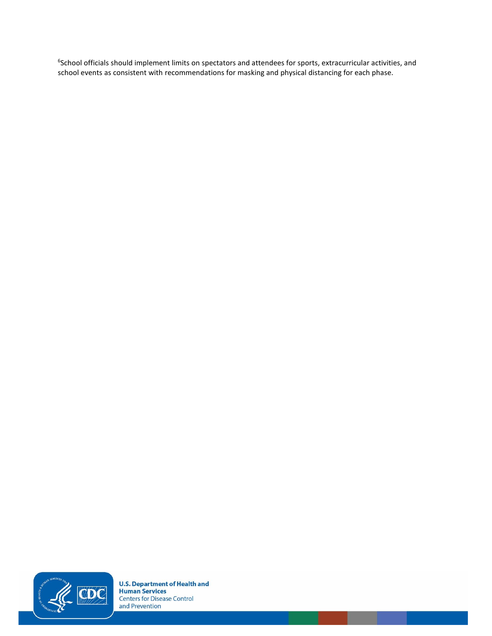6 School officials should implement limits on spectators and attendees for sports, extracurricular activities, and school events as consistent with recommendations for masking and physical distancing for each phase.

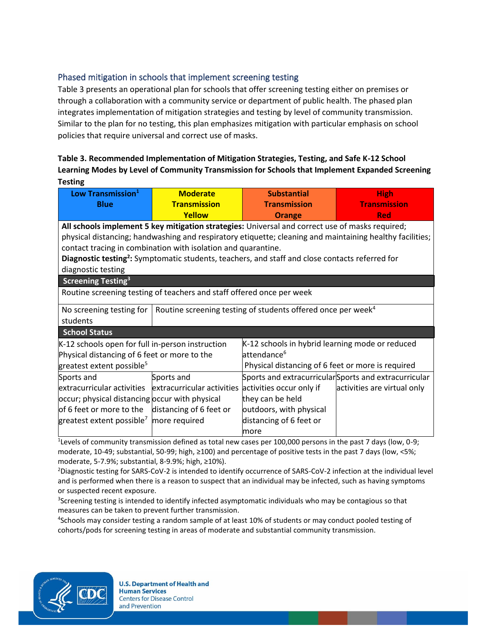## Phased mitigation in schools that implement screening testing

Table 3 presents an operational plan for schools that offer screening testing either on premises or through a collaboration with a community service or department of public health. The phased plan integrates implementation of mitigation strategies and testing by level of community transmission. Similar to the plan for no testing, this plan emphasizes mitigation with particular emphasis on school policies that require universal and correct use of masks.

### **Table 3. Recommended Implementation of Mitigation Strategies, Testing, and Safe K-12 School Learning Modes by Level of Community Transmission for Schools that Implement Expanded Screening Testing**

| Low Transmission <sup>1</sup>                                                                               | <b>Moderate</b>                                                                                 | <b>Substantial</b>                                                       | <b>High</b>                                           |
|-------------------------------------------------------------------------------------------------------------|-------------------------------------------------------------------------------------------------|--------------------------------------------------------------------------|-------------------------------------------------------|
| <b>Blue</b>                                                                                                 | <b>Transmission</b>                                                                             | <b>Transmission</b>                                                      | <b>Transmission</b>                                   |
|                                                                                                             | Yellow                                                                                          | <b>Orange</b>                                                            | <b>Red</b>                                            |
|                                                                                                             | All schools implement 5 key mitigation strategies: Universal and correct use of masks required; |                                                                          |                                                       |
| physical distancing; handwashing and respiratory etiquette; cleaning and maintaining healthy facilities;    |                                                                                                 |                                                                          |                                                       |
| contact tracing in combination with isolation and quarantine.                                               |                                                                                                 |                                                                          |                                                       |
| Diagnostic testing <sup>2</sup> : Symptomatic students, teachers, and staff and close contacts referred for |                                                                                                 |                                                                          |                                                       |
| diagnostic testing                                                                                          |                                                                                                 |                                                                          |                                                       |
| <b>Screening Testing<sup>3</sup></b>                                                                        |                                                                                                 |                                                                          |                                                       |
| Routine screening testing of teachers and staff offered once per week                                       |                                                                                                 |                                                                          |                                                       |
| No screening testing for                                                                                    |                                                                                                 | Routine screening testing of students offered once per week <sup>4</sup> |                                                       |
| students                                                                                                    |                                                                                                 |                                                                          |                                                       |
| <b>School Status</b>                                                                                        |                                                                                                 |                                                                          |                                                       |
| K-12 schools open for full in-person instruction                                                            |                                                                                                 | K-12 schools in hybrid learning mode or reduced                          |                                                       |
| Physical distancing of 6 feet or more to the                                                                |                                                                                                 | attendance <sup>6</sup>                                                  |                                                       |
| greatest extent possible <sup>5</sup>                                                                       |                                                                                                 | Physical distancing of 6 feet or more is required                        |                                                       |
| Sports and                                                                                                  | Sports and                                                                                      |                                                                          | Sports and extracurricular Sports and extracurricular |
| extracurricular activities                                                                                  | extracurricular activities                                                                      | activities occur only if                                                 | activities are virtual only                           |
| occur; physical distancing occur with physical                                                              |                                                                                                 | they can be held                                                         |                                                       |
| of 6 feet or more to the                                                                                    | distancing of 6 feet or                                                                         | outdoors, with physical                                                  |                                                       |
| greatest extent possible <sup>7</sup>                                                                       | more required                                                                                   | distancing of 6 feet or                                                  |                                                       |
|                                                                                                             |                                                                                                 | lmore                                                                    |                                                       |

<sup>1</sup> Levels of community transmission defined as total new cases per 100,000 persons in the past 7 days (low, 0-9; moderate, 10-49; substantial, 50-99; high, ≥100) and percentage of positive tests in the past 7 days (low, <5%; moderate, 5-7.9%; substantial, 8-9.9%; high, ≥10%).

<sup>2</sup>Diagnostic testing for SARS-CoV-2 is intended to identify occurrence of SARS-CoV-2 infection at the individual level and is performed when there is a reason to suspect that an individual may be infected, such as having symptoms or suspected recent exposure.

<sup>3</sup>Screening testing is intended to identify infected asymptomatic individuals who may be contagious so that measures can be taken to prevent further transmission.

4 Schools may consider testing a random sample of at least 10% of students or may conduct pooled testing of cohorts/pods for screening testing in areas of moderate and substantial community transmission.

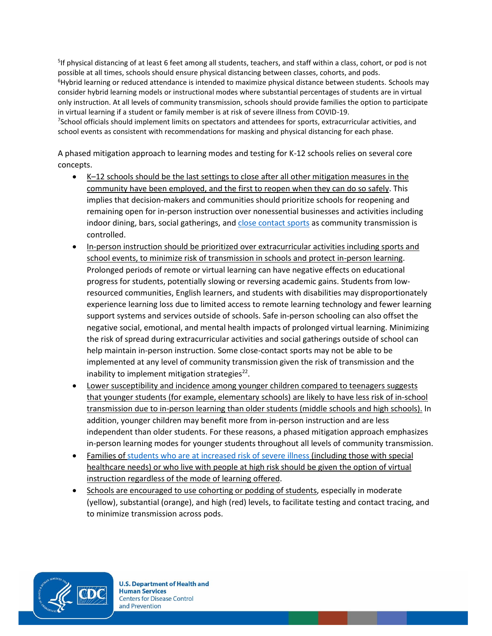<sup>5</sup>If physical distancing of at least 6 feet among all students, teachers, and staff within a class, cohort, or pod is not possible at all times, schools should ensure physical distancing between classes, cohorts, and pods. <sup>6</sup>Hybrid learning or reduced attendance is intended to maximize physical distance between students. Schools may consider hybrid learning models or instructional modes where substantial percentages of students are in virtual only instruction. At all levels of community transmission, schools should provide families the option to participate in virtual learning if a student or family member is at risk of severe illness from COVID-19. 7 School officials should implement limits on spectators and attendees for sports, extracurricular activities, and

school events as consistent with recommendations for masking and physical distancing for each phase.

A phased mitigation approach to learning modes and testing for K-12 schools relies on several core concepts.

- K–12 schools should be the last settings to close after all other mitigation measures in the community have been employed, and the first to reopen when they can do so safely. This implies that decision-makers and communities should prioritize schools for reopening and remaining open for in-person instruction over nonessential businesses and activities including indoor dining, bars, social gatherings, and [close contact sports](https://www.cdc.gov/mmwr/volumes/70/wr/mm7004e4.htm?s_cid=mm7004e4_e&ACSTrackingID=USCDC_921-DM47411&ACSTrackingLabel=MMWR%20Early%20Release%20-%20Vol.%2070%2C%20January%2026%2C%202021&deliveryName=USCDC_921-DM47411) as community transmission is controlled.
- In-person instruction should be prioritized over extracurricular activities including sports and school events, to minimize risk of transmission in schools and protect in-person learning. Prolonged periods of remote or virtual learning can have negative effects on educational progress for students, potentially slowing or reversing academic gains. Students from lowresourced communities, English learners, and students with disabilities may disproportionately experience learning loss due to limited access to remote learning technology and fewer learning support systems and services outside of schools. Safe in-person schooling can also offset the negative social, emotional, and mental health impacts of prolonged virtual learning. Minimizing the risk of spread during extracurricular activities and social gatherings outside of school can help maintain in-person instruction. Some close-contact sports may not be able to be implemented at any level of community transmission given the risk of transmission and the inability to implement mitigation strategies<sup>22</sup>.
- Lower susceptibility and incidence among younger children compared to teenagers suggests that younger students (for example, elementary schools) are likely to have less risk of in-school transmission due to in-person learning than older students (middle schools and high schools). In addition, younger children may benefit more from in-person instruction and are less independent than older students. For these reasons, a phased mitigation approach emphasizes in-person learning modes for younger students throughout all levels of community transmission.
- Families o[f students who are at increased](https://www.cdc.gov/coronavirus/2019-ncov/need-extra-precautions/people-with-medical-conditions.html) risk of severe illness (including those with special healthcare needs) or who live with people at high risk should be given the option of virtual instruction regardless of the mode of learning offered.
- Schools are encouraged to use cohorting or podding of students, especially in moderate (yellow), substantial (orange), and high (red) levels, to facilitate testing and contact tracing, and to minimize transmission across pods.

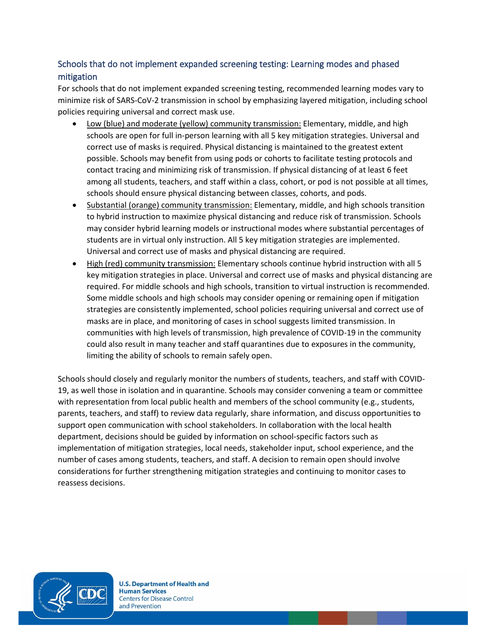## Schools that do not implement expanded screening testing: Learning modes and phased mitigation

For schools that do not implement expanded screening testing, recommended learning modes vary to minimize risk of SARS-CoV-2 transmission in school by emphasizing layered mitigation, including school policies requiring universal and correct mask use.

- Low (blue) and moderate (yellow) community transmission: Elementary, middle, and high schools are open for full in-person learning with all 5 key mitigation strategies. Universal and correct use of masks is required. Physical distancing is maintained to the greatest extent possible. Schools may benefit from using pods or cohorts to facilitate testing protocols and contact tracing and minimizing risk of transmission. If physical distancing of at least 6 feet among all students, teachers, and staff within a class, cohort, or pod is not possible at all times, schools should ensure physical distancing between classes, cohorts, and pods.
- Substantial (orange) community transmission: Elementary, middle, and high schools transition to hybrid instruction to maximize physical distancing and reduce risk of transmission. Schools may consider hybrid learning models or instructional modes where substantial percentages of students are in virtual only instruction. All 5 key mitigation strategies are implemented. Universal and correct use of masks and physical distancing are required.
- High (red) community transmission: Elementary schools continue hybrid instruction with all 5 key mitigation strategies in place. Universal and correct use of masks and physical distancing are required. For middle schools and high schools, transition to virtual instruction is recommended. Some middle schools and high schools may consider opening or remaining open if mitigation strategies are consistently implemented, school policies requiring universal and correct use of masks are in place, and monitoring of cases in school suggests limited transmission. In communities with high levels of transmission, high prevalence of COVID-19 in the community could also result in many teacher and staff quarantines due to exposures in the community, limiting the ability of schools to remain safely open.

Schools should closely and regularly monitor the numbers of students, teachers, and staff with COVID-19, as well those in isolation and in quarantine. Schools may consider convening a team or committee with representation from local public health and members of the school community (e.g., students, parents, teachers, and staff) to review data regularly, share information, and discuss opportunities to support open communication with school stakeholders. In collaboration with the local health department, decisions should be guided by information on school-specific factors such as implementation of mitigation strategies, local needs, stakeholder input, school experience, and the number of cases among students, teachers, and staff. A decision to remain open should involve considerations for further strengthening mitigation strategies and continuing to monitor cases to reassess decisions.

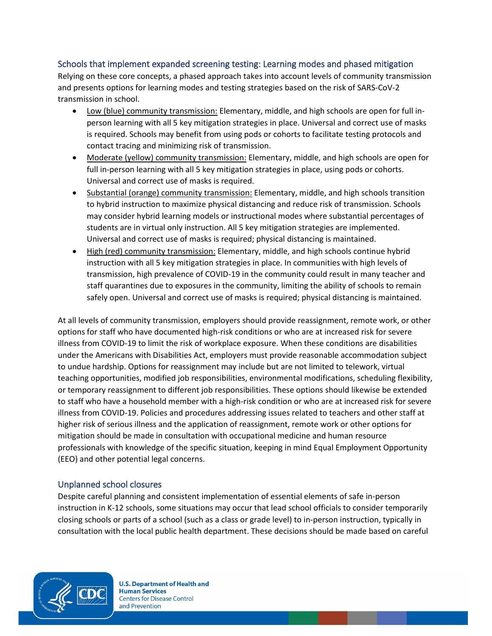#### Schools that implement expanded screening testing: Learning modes and phased mitigation

Relying on these core concepts, a phased approach takes into account levels of community transmission and presents options for learning modes and testing strategies based on the risk of SARS-CoV-2 transmission in school.

- Low (blue) community transmission: Elementary, middle, and high schools are open for full inperson learning with all 5 key mitigation strategies in place. Universal and correct use of masks is required. Schools may benefit from using pods or cohorts to facilitate testing protocols and contact tracing and minimizing risk of transmission.
- Moderate (yellow) community transmission: Elementary, middle, and high schools are open for full in-person learning with all 5 key mitigation strategies in place, using pods or cohorts. Universal and correct use of masks is required.
- Substantial (orange) community transmission: Elementary, middle, and high schools transition to hybrid instruction to maximize physical distancing and reduce risk of transmission. Schools may consider hybrid learning models or instructional modes where substantial percentages of students are in virtual only instruction. All 5 key mitigation strategies are implemented. Universal and correct use of masks is required; physical distancing is maintained.
- High (red) community transmission: Elementary, middle, and high schools continue hybrid instruction with all 5 key mitigation strategies in place. In communities with high levels of transmission, high prevalence of COVID-19 in the community could result in many teacher and staff quarantines due to exposures in the community, limiting the ability of schools to remain safely open. Universal and correct use of masks is required; physical distancing is maintained.

At all levels of community transmission, employers should provide reassignment, remote work, or other options for staff who have documented high-risk conditions or who are at increased risk for severe illness from COVID-19 to limit the risk of workplace exposure. When these conditions are disabilities under the Americans with Disabilities Act, employers must provide reasonable accommodation subject to undue hardship. Options for reassignment may include but are not limited to telework, virtual teaching opportunities, modified job responsibilities, environmental modifications, scheduling flexibility, or temporary reassignment to different job responsibilities. These options should likewise be extended to staff who have a household member with a high-risk condition or who are at increased risk for severe illness from COVID-19. Policies and procedures addressing issues related to teachers and other staff at higher risk of serious illness and the application of reassignment, remote work or other options for mitigation should be made in consultation with occupational medicine and human resource professionals with knowledge of the specific situation, keeping in mind Equal Employment Opportunity (EEO) and other potential legal concerns.

#### Unplanned school closures

Despite careful planning and consistent implementation of essential elements of safe in-person instruction in K-12 schools, some situations may occur that lead school officials to consider temporarily closing schools or parts of a school (such as a class or grade level) to in-person instruction, typically in consultation with the local public health department. These decisions should be made based on careful

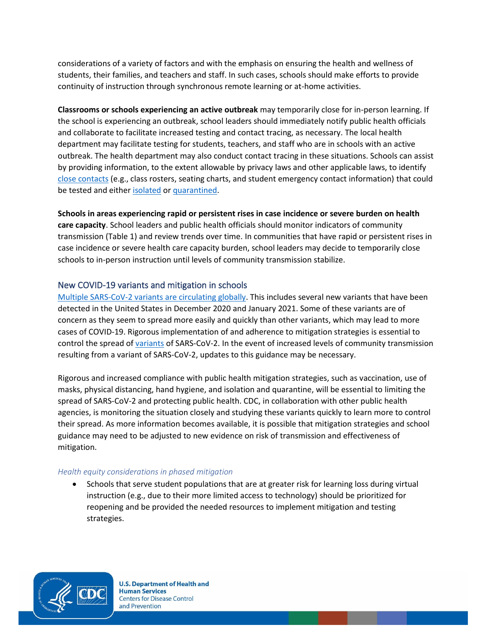considerations of a variety of factors and with the emphasis on ensuring the health and wellness of students, their families, and teachers and staff. In such cases, schools should make efforts to provide continuity of instruction through synchronous remote learning or at-home activities.

**Classrooms or schools experiencing an active outbreak** may temporarily close for in-person learning. If the school is experiencing an outbreak, school leaders should immediately notify public health officials and collaborate to facilitate increased testing and contact tracing, as necessary. The local health department may facilitate testing for students, teachers, and staff who are in schools with an active outbreak. The health department may also conduct contact tracing in these situations. Schools can assist by providing information, to the extent allowable by privacy laws and other applicable laws, to identify [close contacts](https://www.cdc.gov/coronavirus/2019-ncov/php/contact-tracing/contact-tracing-plan/appendix.html#contact) (e.g., class rosters, seating charts, and student emergency contact information) that could be tested and either [isolated](https://www.cdc.gov/coronavirus/2019-ncov/if-you-are-sick/isolation.html) or [quarantined.](https://www.cdc.gov/coronavirus/2019-ncov/if-you-are-sick/quarantine.html)

**Schools in areas experiencing rapid or persistent rises in case incidence or severe burden on health care capacity**. School leaders and public health officials should monitor indicators of community transmission (Table 1) and review trends over time. In communities that have rapid or persistent rises in case incidence or severe health care capacity burden, school leaders may decide to temporarily close schools to in-person instruction until levels of community transmission stabilize.

### New COVID-19 variants and mitigation in schools

[Multiple SARS-CoV-2 variants are circulating globally.](https://www.cdc.gov/coronavirus/2019-ncov/transmission/variant.html) This includes several new variants that have been detected in the United States in December 2020 and January 2021. Some of these variants are of concern as they seem to spread more easily and quickly than other variants, which may lead to more cases of COVID-19. Rigorous implementation of and adherence to mitigation strategies is essential to control the spread o[f variants](https://www.cdc.gov/coronavirus/2019-ncov/more/science-and-research/scientific-brief-emerging-variants.html) of SARS-CoV-2. In the event of increased levels of community transmission resulting from a variant of SARS-CoV-2, updates to this guidance may be necessary.

Rigorous and increased compliance with public health mitigation strategies, such as vaccination, use of masks, physical distancing, hand hygiene, and isolation and quarantine, will be essential to limiting the spread of SARS-CoV-2 and protecting public health. CDC, in collaboration with other public health agencies, is monitoring the situation closely and studying these variants quickly to learn more to control their spread. As more information becomes available, it is possible that mitigation strategies and school guidance may need to be adjusted to new evidence on risk of transmission and effectiveness of mitigation.

#### *Health equity considerations in phased mitigation*

• Schools that serve student populations that are at greater risk for learning loss during virtual instruction (e.g., due to their more limited access to technology) should be prioritized for reopening and be provided the needed resources to implement mitigation and testing strategies.

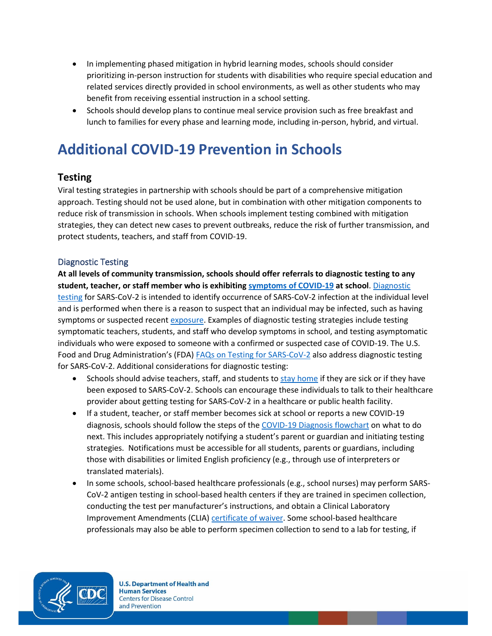- In implementing phased mitigation in hybrid learning modes, schools should consider prioritizing in-person instruction for students with disabilities who require special education and related services directly provided in school environments, as well as other students who may benefit from receiving essential instruction in a school setting.
- Schools should develop plans to continue meal service provision such as free breakfast and lunch to families for every phase and learning mode, including in-person, hybrid, and virtual.

# <span id="page-24-0"></span>**Additional COVID-19 Prevention in Schools**

## **Testing**

Viral testing strategies in partnership with schools should be part of a comprehensive mitigation approach. Testing should not be used alone, but in combination with other mitigation components to reduce risk of transmission in schools. When schools implement testing combined with mitigation strategies, they can detect new cases to prevent outbreaks, reduce the risk of further transmission, and protect students, teachers, and staff from COVID-19.

### Diagnostic Testing

**At all levels of community transmission, schools should offer referrals to diagnostic testing to any student, teacher, or staff member who is exhibiting [symptoms of COVID-19](https://www.cdc.gov/coronavirus/2019-ncov/community/schools-childcare/symptom-screening.html) at school**[. Diagnostic](https://www.cdc.gov/coronavirus/2019-ncov/lab/pooling-procedures.html)  [testing](https://www.cdc.gov/coronavirus/2019-ncov/lab/pooling-procedures.html) for SARS-CoV-2 is intended to identify occurrence of SARS-CoV-2 infection at the individual level and is performed when there is a reason to suspect that an individual may be infected, such as having symptoms or [suspected recent exposure.](https://www.cdc.gov/coronavirus/2019-ncov/php/contact-tracing/contact-tracing-plan/appendix.html#contact) Examples of diagnostic testing strategies include testing symptomatic teachers, students, and staff who develop symptoms in school, and testing asymptomatic individuals who were exposed to someone with a confirmed or suspected case of COVID-19. The U.S. Food and Drug Administration's (FDA) [FAQs on Testing for SARS-CoV-2](https://www.fda.gov/medical-devices/emergency-situations-medical-devices/faqs-testing-sars-cov-2) also address diagnostic testing for SARS-CoV-2. Additional considerations for diagnostic testing:

- Schools should advise teachers, staff, and students to [stay home](https://www.cdc.gov/coronavirus/2019-ncov/community/schools-childcare/schools.html#anchor_1589932092921) if they are sick or if they have been exposed to SARS-CoV-2. Schools can encourage these individuals to talk to their healthcare provider about getting testing for SARS-CoV-2 in a healthcare or public health facility.
- If a student, teacher, or staff member becomes sick at school or reports a new COVID-19 diagnosis, schools should follow the steps of th[e COVID-19 Diagnosis flowchart](https://www.cdc.gov/coronavirus/2019-ncov/community/schools-childcare/student-becomes-sick-diagnosis-flowchart.html) on what to do next. This includes appropriately notifying a student's parent or guardian and initiating testing strategies. Notifications must be accessible for all students, parents or guardians, including those with disabilities or limited English proficiency (e.g., through use of interpreters or translated materials).
- In some schools, school-based healthcare professionals (e.g., school nurses) may perform SARS-CoV-2 antigen testing in school-based health centers if they are trained in specimen collection, conducting the test per manufacturer's instructions, and obtain a Clinical Laboratory Improvement Amendments (CLIA) [certificate of waiver.](https://www.fda.gov/medical-devices/ivd-regulatory-assistance/clia-waiver-application) Some school-based healthcare professionals may also be able to perform specimen collection to send to a lab for testing, if

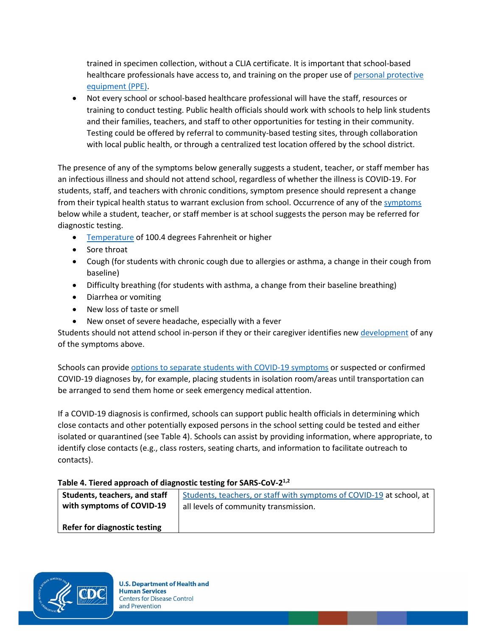trained in specimen collection, without a CLIA certificate. It is important that school-based healthcare professionals have access to, and training on the proper use of personal protective [equipment \(PPE\).](https://www.cdc.gov/coronavirus/2019-ncov/hcp/using-ppe.html)

• Not every school or school-based healthcare professional will have the staff, resources or training to conduct testing. Public health officials should work with schools to help link students and their families, teachers, and staff to other opportunities for testing in their community. Testing could be offered by referral to community-based testing sites, through collaboration with local public health, or through a centralized test location offered by the school district.

The presence of any of the symptoms below generally suggests a student, teacher, or staff member has an infectious illness and should not attend school, regardless of whether the illness is COVID-19. For students, staff, and teachers with chronic conditions, symptom presence should represent a change from their typical health status to warrant exclusion from school. Occurrence of any of the [symptoms](https://www.cdc.gov/coronavirus/2019-ncov/community/schools-childcare/symptom-screening.html) below while a student, teacher, or staff member is at school suggests the person may be referred for diagnostic testing.

- [Temperature](https://my.clevelandclinic.org/health/articles/9959-thermometers-how-to-take-your-temperature) of 100.4 degrees Fahrenheit or higher
- Sore throat
- Cough (for students with chronic cough due to allergies or asthma, a change in their cough from baseline)
- Difficulty breathing (for students with asthma, a change from their baseline breathing)
- Diarrhea or vomiting
- New loss of taste or smell
- New onset of severe headache, especially with a fever

Students should not attend school in-person if they or their caregiver identifies ne[w development](https://www.cdc.gov/coronavirus/2019-ncov/community/schools-childcare/schools.html#anchor_1589932092921) of any of the symptoms above.

Schools can provide [options to separate students with COVID-19 symptoms](https://www.cdc.gov/coronavirus/2019-ncov/community/schools-childcare/student-becomes-sick-diagnosis-flowchart.html) or suspected or confirmed COVID-19 diagnoses by, for example, placing students in isolation room/areas until transportation can be arranged to send them home or seek emergency medical attention.

If a COVID-19 diagnosis is confirmed, schools can support public health officials in determining which close contacts and other potentially exposed persons in the school setting could be tested and either isolated or quarantined (see Table 4). Schools can assist by providing information, where appropriate, to identify close contacts (e.g., class rosters, seating charts, and information to facilitate outreach to contacts).

#### **Table 4. Tiered approach of diagnostic testing for SARS-CoV-2 1,2**

| Students, teachers, and staff | Students, teachers, or staff with symptoms of COVID-19 at school, at |
|-------------------------------|----------------------------------------------------------------------|
| with symptoms of COVID-19     | all levels of community transmission.                                |
|                               |                                                                      |
| Refer for diagnostic testing  |                                                                      |

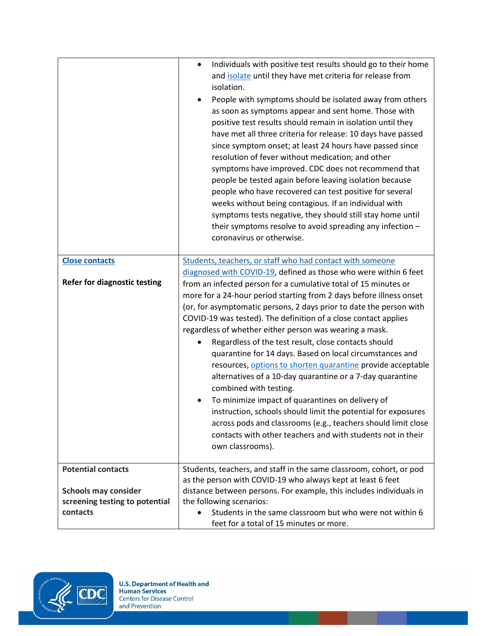|                                | Individuals with positive test results should go to their home<br>$\bullet$<br>and isolate until they have met criteria for release from<br>isolation.<br>People with symptoms should be isolated away from others<br>as soon as symptoms appear and sent home. Those with<br>positive test results should remain in isolation until they<br>have met all three criteria for release: 10 days have passed<br>since symptom onset; at least 24 hours have passed since<br>resolution of fever without medication; and other<br>symptoms have improved. CDC does not recommend that<br>people be tested again before leaving isolation because<br>people who have recovered can test positive for several<br>weeks without being contagious. If an individual with<br>symptoms tests negative, they should still stay home until<br>their symptoms resolve to avoid spreading any infection -<br>coronavirus or otherwise. |
|--------------------------------|--------------------------------------------------------------------------------------------------------------------------------------------------------------------------------------------------------------------------------------------------------------------------------------------------------------------------------------------------------------------------------------------------------------------------------------------------------------------------------------------------------------------------------------------------------------------------------------------------------------------------------------------------------------------------------------------------------------------------------------------------------------------------------------------------------------------------------------------------------------------------------------------------------------------------|
| <b>Close contacts</b>          | Students, teachers, or staff who had contact with someone                                                                                                                                                                                                                                                                                                                                                                                                                                                                                                                                                                                                                                                                                                                                                                                                                                                                |
|                                | diagnosed with COVID-19, defined as those who were within 6 feet                                                                                                                                                                                                                                                                                                                                                                                                                                                                                                                                                                                                                                                                                                                                                                                                                                                         |
| Refer for diagnostic testing   | from an infected person for a cumulative total of 15 minutes or                                                                                                                                                                                                                                                                                                                                                                                                                                                                                                                                                                                                                                                                                                                                                                                                                                                          |
|                                | more for a 24-hour period starting from 2 days before illness onset                                                                                                                                                                                                                                                                                                                                                                                                                                                                                                                                                                                                                                                                                                                                                                                                                                                      |
|                                | (or, for asymptomatic persons, 2 days prior to date the person with                                                                                                                                                                                                                                                                                                                                                                                                                                                                                                                                                                                                                                                                                                                                                                                                                                                      |
|                                | COVID-19 was tested). The definition of a close contact applies                                                                                                                                                                                                                                                                                                                                                                                                                                                                                                                                                                                                                                                                                                                                                                                                                                                          |
|                                | regardless of whether either person was wearing a mask.                                                                                                                                                                                                                                                                                                                                                                                                                                                                                                                                                                                                                                                                                                                                                                                                                                                                  |
|                                | Regardless of the test result, close contacts should                                                                                                                                                                                                                                                                                                                                                                                                                                                                                                                                                                                                                                                                                                                                                                                                                                                                     |
|                                | quarantine for 14 days. Based on local circumstances and                                                                                                                                                                                                                                                                                                                                                                                                                                                                                                                                                                                                                                                                                                                                                                                                                                                                 |
|                                | resources, options to shorten quarantine provide acceptable                                                                                                                                                                                                                                                                                                                                                                                                                                                                                                                                                                                                                                                                                                                                                                                                                                                              |
|                                | alternatives of a 10-day quarantine or a 7-day quarantine                                                                                                                                                                                                                                                                                                                                                                                                                                                                                                                                                                                                                                                                                                                                                                                                                                                                |
|                                | combined with testing.                                                                                                                                                                                                                                                                                                                                                                                                                                                                                                                                                                                                                                                                                                                                                                                                                                                                                                   |
|                                | To minimize impact of quarantines on delivery of                                                                                                                                                                                                                                                                                                                                                                                                                                                                                                                                                                                                                                                                                                                                                                                                                                                                         |
|                                | instruction, schools should limit the potential for exposures                                                                                                                                                                                                                                                                                                                                                                                                                                                                                                                                                                                                                                                                                                                                                                                                                                                            |
|                                | across pods and classrooms (e.g., teachers should limit close                                                                                                                                                                                                                                                                                                                                                                                                                                                                                                                                                                                                                                                                                                                                                                                                                                                            |
|                                | contacts with other teachers and with students not in their                                                                                                                                                                                                                                                                                                                                                                                                                                                                                                                                                                                                                                                                                                                                                                                                                                                              |
|                                | own classrooms).                                                                                                                                                                                                                                                                                                                                                                                                                                                                                                                                                                                                                                                                                                                                                                                                                                                                                                         |
| <b>Potential contacts</b>      | Students, teachers, and staff in the same classroom, cohort, or pod                                                                                                                                                                                                                                                                                                                                                                                                                                                                                                                                                                                                                                                                                                                                                                                                                                                      |
|                                | as the person with COVID-19 who always kept at least 6 feet                                                                                                                                                                                                                                                                                                                                                                                                                                                                                                                                                                                                                                                                                                                                                                                                                                                              |
| <b>Schools may consider</b>    | distance between persons. For example, this includes individuals in                                                                                                                                                                                                                                                                                                                                                                                                                                                                                                                                                                                                                                                                                                                                                                                                                                                      |
| screening testing to potential | the following scenarios:                                                                                                                                                                                                                                                                                                                                                                                                                                                                                                                                                                                                                                                                                                                                                                                                                                                                                                 |
| contacts                       | Students in the same classroom but who were not within 6                                                                                                                                                                                                                                                                                                                                                                                                                                                                                                                                                                                                                                                                                                                                                                                                                                                                 |
|                                | feet for a total of 15 minutes or more.                                                                                                                                                                                                                                                                                                                                                                                                                                                                                                                                                                                                                                                                                                                                                                                                                                                                                  |

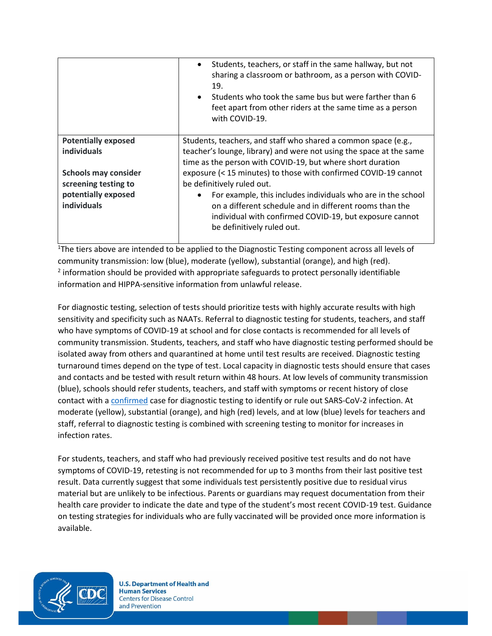|                             | Students, teachers, or staff in the same hallway, but not<br>$\bullet$<br>sharing a classroom or bathroom, as a person with COVID-<br>19.<br>Students who took the same bus but were farther than 6<br>$\bullet$<br>feet apart from other riders at the same time as a person<br>with COVID-19. |
|-----------------------------|-------------------------------------------------------------------------------------------------------------------------------------------------------------------------------------------------------------------------------------------------------------------------------------------------|
| <b>Potentially exposed</b>  | Students, teachers, and staff who shared a common space (e.g.,                                                                                                                                                                                                                                  |
| <b>individuals</b>          | teacher's lounge, library) and were not using the space at the same                                                                                                                                                                                                                             |
|                             | time as the person with COVID-19, but where short duration                                                                                                                                                                                                                                      |
| <b>Schools may consider</b> | exposure (< 15 minutes) to those with confirmed COVID-19 cannot                                                                                                                                                                                                                                 |
| screening testing to        | be definitively ruled out.                                                                                                                                                                                                                                                                      |
| potentially exposed         | For example, this includes individuals who are in the school<br>$\bullet$                                                                                                                                                                                                                       |
| <b>individuals</b>          | on a different schedule and in different rooms than the                                                                                                                                                                                                                                         |
|                             | individual with confirmed COVID-19, but exposure cannot                                                                                                                                                                                                                                         |
|                             | be definitively ruled out.                                                                                                                                                                                                                                                                      |
|                             |                                                                                                                                                                                                                                                                                                 |

<sup>1</sup>The tiers above are intended to be applied to the Diagnostic Testing component across all levels of community transmission: low (blue), moderate (yellow), substantial (orange), and high (red).  $2$  information should be provided with appropriate safeguards to protect personally identifiable information and HIPPA-sensitive information from unlawful release.

For diagnostic testing, selection of tests should prioritize tests with highly accurate results with high sensitivity and specificity such as NAATs. Referral to diagnostic testing for students, teachers, and staff who have symptoms of COVID-19 at school and for close contacts is recommended for all levels of community transmission. Students, teachers, and staff who have diagnostic testing performed should be isolated away from others and quarantined at home until test results are received. Diagnostic testing turnaround times depend on the type of test. Local capacity in diagnostic tests should ensure that cases and contacts and be tested with result return within 48 hours. At low levels of community transmission (blue), schools should refer students, teachers, and staff with symptoms or recent history of close contact with a [confirmed](https://www.cdc.gov/coronavirus/2019-ncov/hcp/nursing-homes-antigen-testing.html) case for diagnostic testing to identify or rule out SARS-CoV-2 infection. At moderate (yellow), substantial (orange), and high (red) levels, and at low (blue) levels for teachers and staff, referral to diagnostic testing is combined with screening testing to monitor for increases in infection rates.

For students, teachers, and staff who had previously received positive test results and do not have symptoms of COVID-19, retesting is not recommended for up to 3 months from their last positive test result. Data currently suggest that some individuals test persistently positive due to residual virus material but are unlikely to be infectious. Parents or guardians may request documentation from their health care provider to indicate the date and type of the student's most recent COVID-19 test. Guidance on testing strategies for individuals who are fully vaccinated will be provided once more information is available.

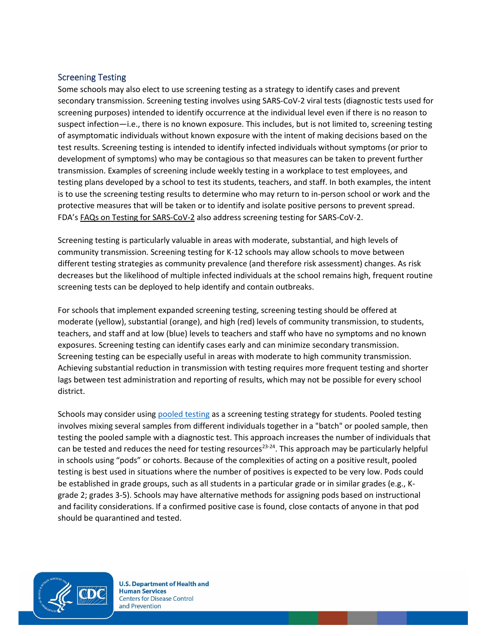#### Screening Testing

Some schools may also elect to use screening testing as a strategy to identify cases and prevent secondary transmission. Screening testing involves using SARS-CoV-2 viral tests (diagnostic tests used for screening purposes) intended to identify occurrence at the individual level even if there is no reason to suspect infection—i.e., there is no known exposure. This includes, but is not limited to, screening testing of asymptomatic individuals without known exposure with the intent of making decisions based on the test results. Screening testing is intended to identify infected individuals without symptoms (or prior to development of symptoms) who may be contagious so that measures can be taken to prevent further transmission. Examples of screening include weekly testing in a workplace to test employees, and testing plans developed by a school to test its students, teachers, and staff. In both examples, the intent is to use the screening testing results to determine who may return to in-person school or work and the protective measures that will be taken or to identify and isolate positive persons to prevent spread. FDA's [FAQs on Testing for SARS-CoV-2](https://www.fda.gov/medical-devices/emergency-situations-medical-devices/faqs-testing-sars-cov-2) also address screening testing for SARS-CoV-2.

Screening testing is particularly valuable in areas with moderate, substantial, and high levels of community transmission. Screening testing for K-12 schools may allow schools to move between different testing strategies as community prevalence (and therefore risk assessment) changes. As risk decreases but the likelihood of multiple infected individuals at the school remains high, frequent routine screening tests can be deployed to help identify and contain outbreaks.

For schools that implement expanded screening testing, screening testing should be offered at moderate (yellow), substantial (orange), and high (red) levels of community transmission, to students, teachers, and staff and at low (blue) levels to teachers and staff who have no symptoms and no known exposures. Screening testing can identify cases early and can minimize secondary transmission. Screening testing can be especially useful in areas with moderate to high community transmission. Achieving substantial reduction in transmission with testing requires more frequent testing and shorter lags between test administration and reporting of results, which may not be possible for every school district.

Schools may consider usin[g pooled testing](https://www.cdc.gov/coronavirus/2019-ncov/lab/pooling-procedures.html) as a screening testing strategy for students. Pooled testing involves mixing several samples from different individuals together in a "batch" or pooled sample, then testing the pooled sample with a diagnostic test. This approach increases the number of individuals that can be tested and reduces the need for testing resources<sup>23-24</sup>. This approach may be particularly helpful in schools using "pods" or cohorts. Because of the complexities of acting on a positive result, pooled testing is best used in situations where the number of positives is expected to be very low. Pods could be established in grade groups, such as all students in a particular grade or in similar grades (e.g., Kgrade 2; grades 3-5). Schools may have alternative methods for assigning pods based on instructional and facility considerations. If a confirmed positive case is found, close contacts of anyone in that pod should be quarantined and tested.

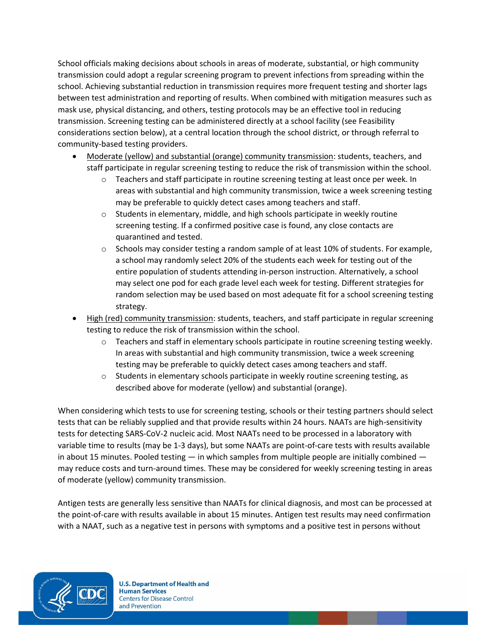School officials making decisions about schools in areas of moderate, substantial, or high community transmission could adopt a regular screening program to prevent infections from spreading within the school. Achieving substantial reduction in transmission requires more frequent testing and shorter lags between test administration and reporting of results. When combined with mitigation measures such as mask use, physical distancing, and others, testing protocols may be an effective tool in reducing transmission. Screening testing can be administered directly at a school facility (see Feasibility considerations section below), at a central location through the school district, or through referral to community-based testing providers.

- Moderate (yellow) and substantial (orange) community transmission: students, teachers, and staff participate in regular screening testing to reduce the risk of transmission within the school.
	- $\circ$  Teachers and staff participate in routine screening testing at least once per week. In areas with substantial and high community transmission, twice a week screening testing may be preferable to quickly detect cases among teachers and staff.
	- $\circ$  Students in elementary, middle, and high schools participate in weekly routine screening testing. If a confirmed positive case is found, any close contacts are quarantined and tested.
	- $\circ$  Schools may consider testing a random sample of at least 10% of students. For example, a school may randomly select 20% of the students each week for testing out of the entire population of students attending in-person instruction. Alternatively, a school may select one pod for each grade level each week for testing. Different strategies for random selection may be used based on most adequate fit for a school screening testing strategy.
- High (red) community transmission: students, teachers, and staff participate in regular screening testing to reduce the risk of transmission within the school.
	- $\circ$  Teachers and staff in elementary schools participate in routine screening testing weekly. In areas with substantial and high community transmission, twice a week screening testing may be preferable to quickly detect cases among teachers and staff.
	- $\circ$  Students in elementary schools participate in weekly routine screening testing, as described above for moderate (yellow) and substantial (orange).

When considering which tests to use for screening testing, schools or their testing partners should select tests that can be reliably supplied and that provide results within 24 hours. NAATs are high-sensitivity tests for detecting SARS-CoV-2 nucleic acid. Most NAATs need to be processed in a laboratory with variable time to results (may be 1-3 days), but some NAATs are point-of-care tests with results available in about 15 minutes. Pooled testing  $-$  in which samples from multiple people are initially combined  $$ may reduce costs and turn-around times. These may be considered for weekly screening testing in areas of moderate (yellow) community transmission.

Antigen tests are generally less sensitive than NAATs for clinical diagnosis, and most can be processed at the point-of-care with results available in about 15 minutes. Antigen test results may need confirmation with a NAAT, such as a negative test in persons with symptoms and a positive test in persons without

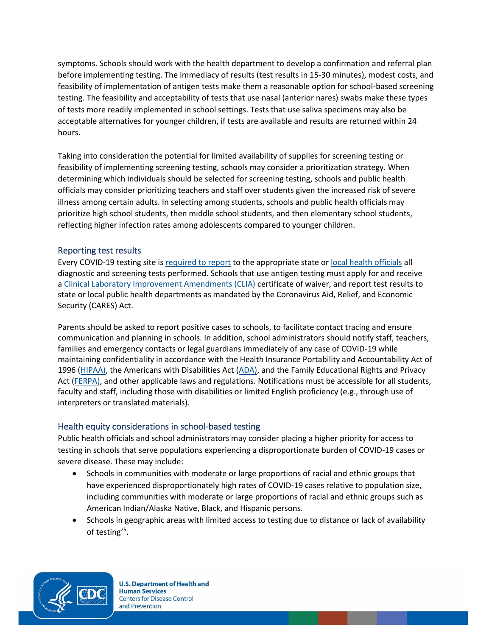symptoms. Schools should work with the health department to develop a confirmation and referral plan before implementing testing. The immediacy of results (test results in 15-30 minutes), modest costs, and feasibility of implementation of antigen tests make them a reasonable option for school-based screening testing. The feasibility and acceptability of tests that use nasal (anterior nares) swabs make these types of tests more readily implemented in school settings. Tests that use saliva specimens may also be acceptable alternatives for younger children, if tests are available and results are returned within 24 hours.

Taking into consideration the potential for limited availability of supplies for screening testing or feasibility of implementing screening testing, schools may consider a prioritization strategy. When determining which individuals should be selected for screening testing, schools and public health officials may consider prioritizing teachers and staff over students given the increased risk of severe illness among certain adults. In selecting among students, schools and public health officials may prioritize high school students, then middle school students, and then elementary school students, reflecting higher infection rates among adolescents compared to younger children.

### Reporting test results

Every COVID-19 testing site is [required to report](https://www.cdc.gov/coronavirus/2019-ncov/lab/reporting-lab-data.html) to the appropriate state or [local health officials](https://www.cdc.gov/publichealthgateway/healthdirectories/index.html) all diagnostic and screening tests performed. Schools that use antigen testing must apply for and receive a [Clinical Laboratory Improvement Amendments \(CLIA\)](https://www.cms.gov/Regulations-and-Guidance/Legislation/CLIA) certificate of waiver, and report test results to state or local public health departments as mandated by the Coronavirus Aid, Relief, and Economic Security (CARES) Act.

Parents should be asked to report positive cases to schools, to facilitate contact tracing and ensure communication and planning in schools. In addition, school administrators should notify staff, teachers, families and emergency contacts or legal guardians immediately of any case of COVID-19 while maintaining confidentiality in accordance with the Health Insurance Portability and Accountability Act of 1996 [\(HIPAA\)](https://studentprivacy.ed.gov/resources/joint-guidance-application-ferpa-and-hipaa-student-health-records), the Americans with Disabilities Act [\(ADA\)](https://www.eeoc.gov/facts/pandemic_flu.html), and the Family Educational Rights and Privacy Act [\(FERPA\)](https://studentprivacy.ed.gov/sites/default/files/resource_document/file/FERPA%20and%20Coronavirus%20Frequently%20Asked%20Questions.pdf), and other applicable laws and regulations. Notifications must be accessible for all students, faculty and staff, including those with disabilities or limited English proficiency (e.g., through use of interpreters or translated materials).

## Health equity considerations in school-based testing

Public health officials and school administrators may consider placing a higher priority for access to testing in schools that serve populations experiencing a disproportionate burden of COVID-19 cases or severe disease. These may include:

- Schools in communities with moderate or large proportions o[f racial and ethnic groups](https://www.cdc.gov/coronavirus/2019-ncov/community/health-equity/race-ethnicity.html) that have experienced disproportionately high rates of COVID-19 cases relative to population size, including communities with moderate or large proportions of racial and ethnic groups such as American Indian/Alaska Native, Black, and Hispanic persons.
- Schools in geographic areas with limited access to testing due to distance or lack of availability of testing<sup>25</sup>.

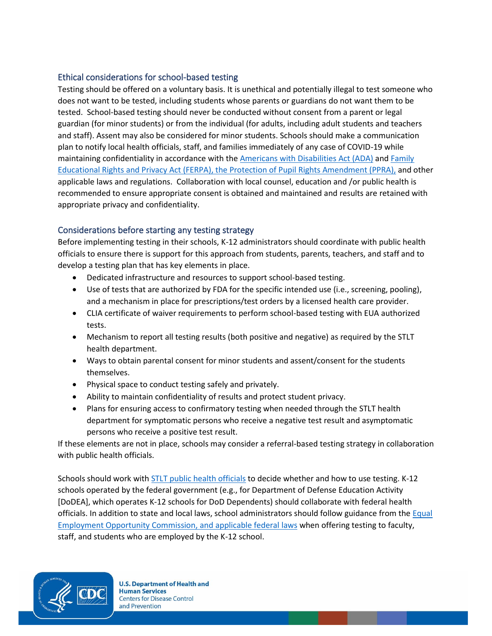## Ethical considerations for school-based testing

Testing should be offered on a voluntary basis. It is unethical and potentially illegal to test someone who does not want to be tested, including students whose parents or guardians do not want them to be tested. School-based testing should never be conducted without consent from a parent or legal guardian (for minor students) or from the individual (for adults, including adult students and teachers and staff). Assent may also be considered for minor students. Schools should make a communication plan to notify local health officials, staff, and families immediately of any case of COVID-19 while maintaining confidentiality in accordance with the Americans with [Disabilities Act \(ADA\)](https://www.ada.gov/) and Family [Educational Rights and Privacy Act \(FERPA\),](https://studentprivacy.ed.gov/?src=fpco) th[e Protection of Pupil Rights Amendment \(PPRA\),](https://studentprivacy.ed.gov/content/ppra) and other applicable laws and regulations. Collaboration with local counsel, education and /or public health is recommended to ensure appropriate consent is obtained and maintained and results are retained with appropriate privacy and confidentiality.

## Considerations before starting any testing strategy

Before implementing testing in their schools, K-12 administrators should coordinate with public health officials to ensure there is support for this approach from students, parents, teachers, and staff and to develop a testing plan that has key elements in place.

- Dedicated infrastructure and resources to support school-based testing.
- Use of tests that are authorized by FDA for the specific intended use (i.e., screening, pooling), and a mechanism in place for prescriptions/test orders by a licensed health care provider.
- CLIA certificate of waiver requirements to perform school-based testing with EUA authorized tests.
- Mechanism to report all testing results (both positive and negative) as required by the STLT health department.
- Ways to obtain parental consent for minor students and assent/consent for the students themselves.
- Physical space to conduct testing safely and privately.
- Ability to maintain confidentiality of results and protect student privacy.
- Plans for ensuring access to confirmatory testing when needed through the STLT health department for symptomatic persons who receive a negative test result and asymptomatic persons who receive a positive test result.

If these elements are not in place, schools may consider a referral-based testing strategy in collaboration with public health officials.

Schools should work with [STLT public health officials](https://www.cdc.gov/publichealthgateway/healthdirectories/index.html) to decide whether and how to use testing. K-12 schools operated by the federal government (e.g., for Department of Defense Education Activity [DoDEA], which operates K-12 schools for DoD Dependents) should collaborate with federal health officials. In addition to state and local laws, school administrators should follow guidance from th[e Equal](https://www.eeoc.gov/wysk/what-you-should-know-about-covid-19-and-ada-rehabilitation-act-and-other-eeo-laws)  [Employment Opportunity Commission,](https://www.eeoc.gov/wysk/what-you-should-know-about-covid-19-and-ada-rehabilitation-act-and-other-eeo-laws) and applicable federal laws when offering testing to faculty, staff, and students who are employed by the K-12 school.

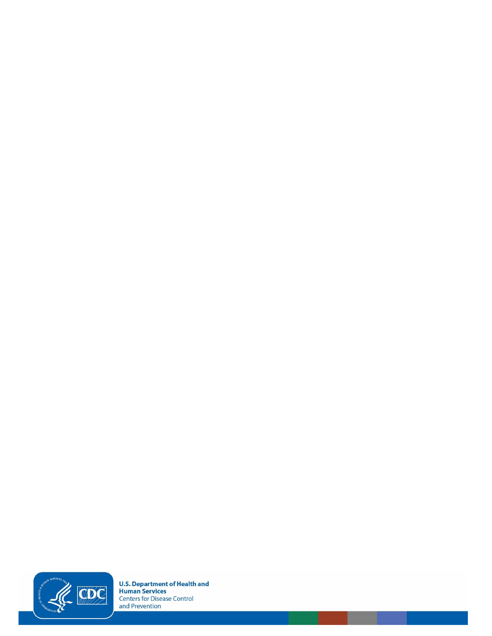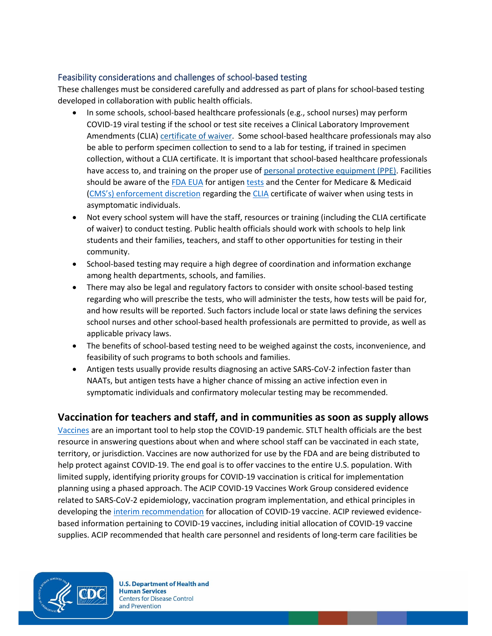## Feasibility considerations and challenges of school-based testing

These challenges must be considered carefully and addressed as part of plans for school-based testing developed in collaboration with public health officials.

- In some schools, school-based healthcare professionals (e.g., school nurses) may perform COVID-19 viral testing if the school or test site receives a Clinical Laboratory Improvement Amendments (CLIA[\) certificate of waiver.](https://www.fda.gov/medical-devices/ivd-regulatory-assistance/clia-waiver-application) Some school-based healthcare professionals may also be able to perform specimen collection to send to a lab for testing, if trained in specimen collection, without a CLIA certificate. It is important that school-based healthcare professionals have access to, and training on the proper use of [personal protective equipment \(PPE\).](https://www.cdc.gov/coronavirus/2019-ncov/hcp/using-ppe.html) Facilities should be aware of th[e FDA EUA](https://www.fda.gov/medical-devices/coronavirus-disease-2019-covid-19-emergency-use-authorizations-medical-devices/vitro-diagnostics-euas) for antigen [tests](https://www.fda.gov/medical-devices/coronavirus-covid-19-and-medical-devices/covid-19-test-uses-faqs-testing-sars-cov-2#5f37fccbef420) and the Center for Medicare & Medicaid (CMS's) [enforcement discretion](https://www.cms.gov/files/document/clia-sars-cov-2-point-care-test-enforcement-discretion.pdf) regarding th[e CLIA](https://www.cms.gov/Regulations-and-Guidance/Legislation/CLIA) certificate of waiver when using tests in asymptomatic individuals.
- Not every school system will have the staff, resources or training (including the CLIA certificate of waiver) to conduct testing. Public health officials should work with schools to help link students and their families, teachers, and staff to other opportunities for testing in their community.
- School-based testing may require a high degree of coordination and information exchange among health departments, schools, and families.
- There may also be legal and regulatory factors to consider with onsite school-based testing regarding who will prescribe the tests, who will administer the tests, how tests will be paid for, and how results will be reported. Such factors include local or state laws defining the services school nurses and other school-based health professionals are permitted to provide, as well as applicable privacy laws.
- The benefits of school-based testing need to be weighed against the costs, inconvenience, and feasibility of such programs to both schools and families.
- Antigen tests usually provide results diagnosing an active SARS-CoV-2 infection faster than NAATs, but antigen tests have a higher chance of missing an active infection even in symptomatic individuals and confirmatory molecular testing may be recommended.

## **Vaccination for teachers and staff, and in communities as soon as supply allows**

[Vaccines](https://www.cdc.gov/vaccines/covid-19/index.html) are an important tool to help stop the COVID-19 pandemic. STLT health officials are the best resource in answering questions about when and where school staff can be vaccinated in each state, territory, or jurisdiction. Vaccines are now authorized for use by the FDA and are being distributed to help protect against COVID-19. The end goal is to offer vaccines to the entire U.S. population. With limited supply, identifying priority groups for COVID-19 vaccination is critical for implementation planning using a phased approach. The ACIP COVID-19 Vaccines Work Group considered evidence related to SARS-CoV-2 epidemiology, vaccination program implementation, and ethical principles in developing the [interim recommendation](https://www.cdc.gov/mmwr/volumes/69/wr/mm695152e2.htm?s_cid=mm695152e2_w) for allocation of COVID-19 vaccine. ACIP reviewed evidencebased information pertaining to COVID-19 vaccines, including initial allocation of COVID-19 vaccine supplies. ACIP recommended that health care personnel and residents of long-term care facilities be

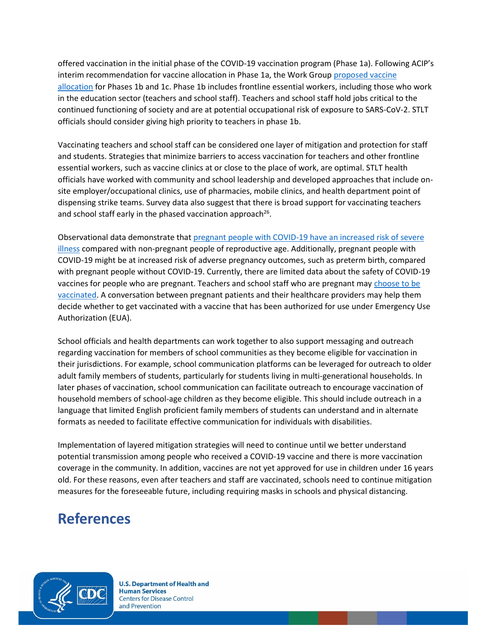offered vaccination in the initial phase of the COVID-19 vaccination program (Phase 1a). Following ACIP's interim recommendation for vaccine allocation in Phase 1a, the Work Group [proposed vaccine](https://www.cdc.gov/mmwr/volumes/69/wr/mm695152e2.htm?s_cid=mm695152e2_w)  [allocation](https://www.cdc.gov/mmwr/volumes/69/wr/mm695152e2.htm?s_cid=mm695152e2_w) for Phases 1b and 1c. Phase 1b includes frontline essential workers, including those who work in the education sector (teachers and school staff). Teachers and school staff hold jobs critical to the continued functioning of society and are at potential occupational risk of exposure to SARS-CoV-2. STLT officials should consider giving high priority to teachers in phase 1b.

Vaccinating teachers and school staff can be considered one layer of mitigation and protection for staff and students. Strategies that minimize barriers to access vaccination for teachers and other frontline essential workers, such as vaccine clinics at or close to the place of work, are optimal. STLT health officials have worked with community and school leadership and developed approaches that include onsite employer/occupational clinics, use of pharmacies, mobile clinics, and health department point of dispensing strike teams. Survey data also suggest that there is broad support for vaccinating teachers and school staff early in the phased vaccination approach<sup>26</sup>.

Observational data demonstrate that pregnant people with COVID-19 have an increased risk of severe [illness](https://www.cdc.gov/coronavirus/2019-ncov/need-extra-precautions/pregnancy-breastfeeding.html) compared with non-pregnant people of reproductive age. Additionally, pregnant people with COVID-19 might be at increased risk of adverse pregnancy outcomes, such as preterm birth, compared with pregnant people without COVID-19. Currently, there are limited data about the safety of COVID-19 vaccines for people who are pregnant. Teachers and school staff who are pregnant ma[y choose to be](https://www.cdc.gov/coronavirus/2019-ncov/vaccines/recommendations/pregnancy.html)  [vaccinated.](https://www.cdc.gov/coronavirus/2019-ncov/vaccines/recommendations/pregnancy.html) A conversation between pregnant patients and their healthcare providers may help them decide whether to get vaccinated with a vaccine that has been authorized for use under Emergency Use Authorization (EUA).

School officials and health departments can work together to also support messaging and outreach regarding vaccination for members of school communities as they become eligible for vaccination in their jurisdictions. For example, school communication platforms can be leveraged for outreach to older adult family members of students, particularly for students living in multi-generational households. In later phases of vaccination, school communication can facilitate outreach to encourage vaccination of household members of school-age children as they become eligible. This should include outreach in a language that limited English proficient family members of students can understand and in alternate formats as needed to facilitate effective communication for individuals with disabilities.

Implementation of layered mitigation strategies will need to continue until we better understand potential transmission among people who received a COVID-19 vaccine and there is more vaccination coverage in the community. In addition, vaccines are not yet approved for use in children under 16 years old. For these reasons, even after teachers and staff are vaccinated, schools need to continue mitigation measures for the foreseeable future, including requiring masks in schools and physical distancing.

# **References**

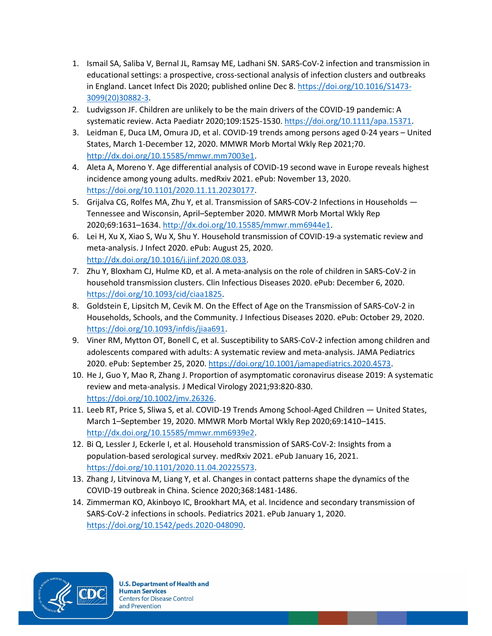- 1. Ismail SA, Saliba V, Bernal JL, Ramsay ME, Ladhani SN. SARS-CoV-2 infection and transmission in educational settings: a prospective, cross-sectional analysis of infection clusters and outbreaks in England. Lancet Infect Dis 2020; published online Dec 8[. https://doi.org/10.1016/S1473-](https://doi.org/10.1016/S1473-3099(20)30882-3) [3099\(20\)30882-3.](https://doi.org/10.1016/S1473-3099(20)30882-3)
- 2. Ludvigsson JF. Children are unlikely to be the main drivers of the COVID-19 pandemic: A systematic review. Acta Paediatr 2020;109:1525-1530. [https://doi.org/10.1111/apa.15371.](https://doi.org/10.1111/apa.15371)
- 3. Leidman E, Duca LM, Omura JD, et al. COVID-19 trends among persons aged 0-24 years United States, March 1-December 12, 2020. MMWR Morb Mortal Wkly Rep 2021;70. [http://dx.doi.org/10.15585/mmwr.mm7003e1.](http://dx.doi.org/10.15585/mmwr.mm7003e1)
- 4. Aleta A, Moreno Y. Age differential analysis of COVID-19 second wave in Europe reveals highest incidence among young adults. medRxiv 2021. ePub: November 13, 2020. [https://doi.org/10.1101/2020.11.11.20230177.](https://doi.org/10.1101/2020.11.11.20230177)
- 5. Grijalva CG, Rolfes MA, Zhu Y, et al. Transmission of SARS-COV-2 Infections in Households Tennessee and Wisconsin, April–September 2020. MMWR Morb Mortal Wkly Rep 2020;69:1631–1634[. http://dx.doi.org/10.15585/mmwr.mm6944e1.](http://dx.doi.org/10.15585/mmwr.mm6944e1)
- 6. Lei H, Xu X, Xiao S, Wu X, Shu Y. Household transmission of COVID-19-a systematic review and meta-analysis. J Infect 2020. ePub: August 25, 2020. [http://dx.doi.org/10.1016/j.jinf.2020.08.033.](http://dx.doi.org/10.1016/j.jinf.2020.08.033)
- 7. Zhu Y, Bloxham CJ, Hulme KD, et al. A meta-analysis on the role of children in SARS-CoV-2 in household transmission clusters. Clin Infectious Diseases 2020. ePub: December 6, 2020. [https://doi.org/10.1093/cid/ciaa1825.](https://doi.org/10.1093/cid/ciaa1825)
- 8. Goldstein E, Lipsitch M, Cevik M. On the Effect of Age on the Transmission of SARS-CoV-2 in Households, Schools, and the Community. J Infectious Diseases 2020. ePub: October 29, 2020. [https://doi.org/10.1093/infdis/jiaa691.](https://doi.org/10.1093/infdis/jiaa691)
- 9. Viner RM, Mytton OT, Bonell C, et al. Susceptibility to SARS-CoV-2 infection among children and adolescents compared with adults: A systematic review and meta-analysis. JAMA Pediatrics 2020. ePub: September 25, 2020[. https://doi.org/10.1001/jamapediatrics.2020.4573.](https://doi.org/10.1001/jamapediatrics.2020.4573)
- 10. He J, Guo Y, Mao R, Zhang J. Proportion of asymptomatic coronavirus disease 2019: A systematic review and meta-analysis. J Medical Virology 2021;93:820-830. [https://doi.org/10.1002/jmv.26326.](https://doi.org/10.1002/jmv.26326)
- 11. Leeb RT, Price S, Sliwa S, et al. COVID-19 Trends Among School-Aged Children United States, March 1–September 19, 2020. MMWR Morb Mortal Wkly Rep 2020;69:1410–1415. [http://dx.doi.org/10.15585/mmwr.mm6939e2.](http://dx.doi.org/10.15585/mmwr.mm6939e2)
- 12. Bi Q, Lessler J, Eckerle I, et al. Household transmission of SARS-CoV-2: Insights from a population-based serological survey. medRxiv 2021. ePub January 16, 2021. [https://doi.org/10.1101/2020.11.04.20225573.](https://doi.org/10.1101/2020.11.04.20225573)
- 13. Zhang J, Litvinova M, Liang Y, et al. Changes in contact patterns shape the dynamics of the COVID-19 outbreak in China. Science 2020;368:1481-1486.
- 14. Zimmerman KO, Akinboyo IC, Brookhart MA, et al. Incidence and secondary transmission of SARS-CoV-2 infections in schools. Pediatrics 2021. ePub January 1, 2020. [https://doi.org/10.1542/peds.2020-048090.](https://doi.org/10.1542/peds.2020-048090)

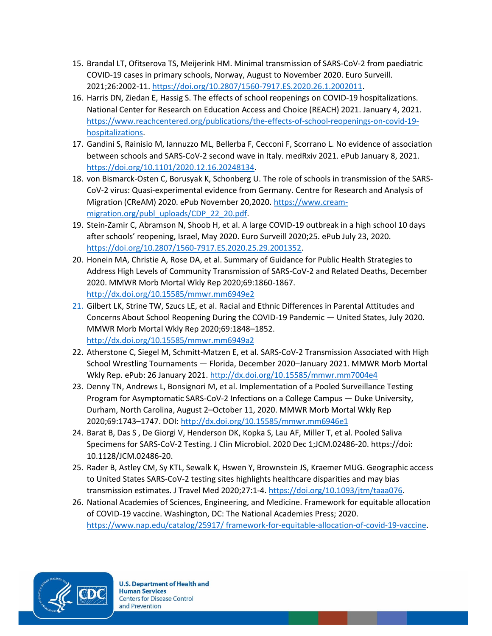- 15. Brandal LT, Ofitserova TS, Meijerink HM. Minimal transmission of SARS-CoV-2 from paediatric COVID-19 cases in primary schools, Norway, August to November 2020. Euro Surveill. 2021;26:2002-11[. https://doi.org/10.2807/1560-7917.ES.2020.26.1.2002011.](https://doi.org/10.2807/1560-7917.ES.2020.26.1.2002011)
- 16. Harris DN, Ziedan E, Hassig S. The effects of school reopenings on COVID-19 hospitalizations. National Center for Research on Education Access and Choice (REACH) 2021. January 4, 2021. [https://www.reachcentered.org/publications/the-effects-of-school-reopenings-on-covid-19](https://www.reachcentered.org/publications/the-effects-of-school-reopenings-on-covid-19-hospitalizations) [hospitalizations.](https://www.reachcentered.org/publications/the-effects-of-school-reopenings-on-covid-19-hospitalizations)
- 17. Gandini S, Rainisio M, Iannuzzo ML, Bellerba F, Cecconi F, Scorrano L. No evidence of association between schools and SARS-CoV-2 second wave in Italy. medRxiv 2021. ePub January 8, 2021. [https://doi.org/10.1101/2020.12.16.20248134.](https://doi.org/10.1101/2020.12.16.20248134)
- 18. von Bismarck-Osten C, Borusyak K, Schonberg U. The role of schools in transmission of the SARS-CoV-2 virus: Quasi-experimental evidence from Germany. Centre for Research and Analysis of Migration (CReAM) 2020. ePub November 20,2020[. https://www.cream](https://www.cream-migration.org/publ_uploads/CDP_22_20.pdf)[migration.org/publ\\_uploads/CDP\\_22\\_20.pdf.](https://www.cream-migration.org/publ_uploads/CDP_22_20.pdf)
- 19. Stein-Zamir C, Abramson N, Shoob H, et al. A large COVID-19 outbreak in a high school 10 days after schools' reopening, Israel, May 2020. Euro Surveill 2020;25. ePub July 23, 2020. [https://doi.org/10.2807/1560-7917.ES.2020.25.29.2001352.](https://doi.org/10.2807/1560-7917.ES.2020.25.29.2001352)
- 20. Honein MA, Christie A, Rose DA, et al. Summary of Guidance for Public Health Strategies to Address High Levels of Community Transmission of SARS-CoV-2 and Related Deaths, December 2020. MMWR Morb Mortal Wkly Rep 2020;69:1860-1867. <http://dx.doi.org/10.15585/mmwr.mm6949e2>
- 21. Gilbert LK, Strine TW, Szucs LE, et al. Racial and Ethnic Differences in Parental Attitudes and Concerns About School Reopening During the COVID-19 Pandemic — United States, July 2020. MMWR Morb Mortal Wkly Rep 2020;69:1848–1852. <http://dx.doi.org/10.15585/mmwr.mm6949a2>
- 22. Atherstone C, Siegel M, Schmitt-Matzen E, et al. SARS-CoV-2 Transmission Associated with High School Wrestling Tournaments — Florida, December 2020–January 2021. MMWR Morb Mortal Wkly Rep. ePub: 26 January 2021[. http://dx.doi.org/10.15585/mmwr.mm7004e4](http://dx.doi.org/10.15585/mmwr.mm7004e4)
- 23. Denny TN, Andrews L, Bonsignori M, et al. Implementation of a Pooled Surveillance Testing Program for Asymptomatic SARS-CoV-2 Infections on a College Campus — Duke University, Durham, North Carolina, August 2–October 11, 2020. MMWR Morb Mortal Wkly Rep 2020;69:1743–1747. DOI:<http://dx.doi.org/10.15585/mmwr.mm6946e1>
- 24. Barat B, Das S , De Giorgi V, Henderson DK, Kopka S, Lau AF, Miller T, et al. Pooled Saliva Specimens for SARS-CoV-2 Testing. J Clin Microbiol. 2020 Dec 1;JCM.02486-20. https://doi: 10.1128/JCM.02486-20.
- 25. Rader B, Astley CM, Sy KTL, Sewalk K, Hswen Y, Brownstein JS, Kraemer MUG. Geographic access to United States SARS-CoV-2 testing sites highlights healthcare disparities and may bias transmission estimates. J Travel Med 2020;27:1-4[. https://doi.org/10.1093/jtm/taaa076.](https://doi.org/10.1093/jtm/taaa076)
- 26. National Academies of Sciences, Engineering, and Medicine. Framework for equitable allocation of COVID-19 vaccine. Washington, DC: The National Academies Press; 2020. [https://www.nap.edu/catalog/25917/ framework-for-equitable-allocation-of-covid-19-vaccine.](https://www.nap.edu/catalog/25917/%20framework-for-equitable-allocation-of-covid-19-vaccine)